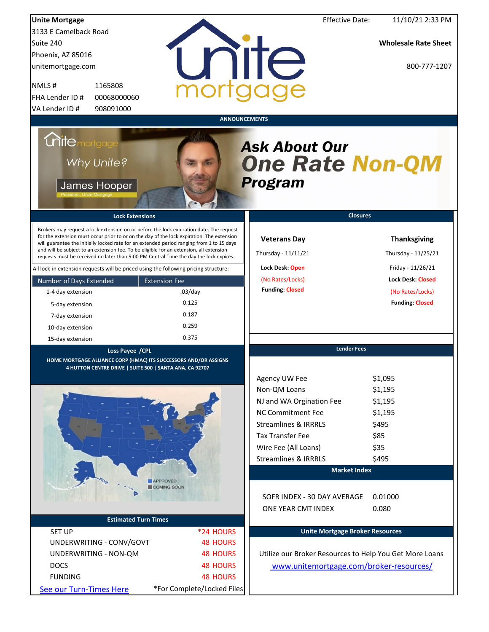| <b>Unite Mortgage</b>                                                                                                                                                                                                                                                                                                                                                                                                                                                                                                                                                                                                                                                                            |                                       | <b>Effective Date:</b>                                                                                      | 11/10/21 2:33 PM                                                                                                                          |
|--------------------------------------------------------------------------------------------------------------------------------------------------------------------------------------------------------------------------------------------------------------------------------------------------------------------------------------------------------------------------------------------------------------------------------------------------------------------------------------------------------------------------------------------------------------------------------------------------------------------------------------------------------------------------------------------------|---------------------------------------|-------------------------------------------------------------------------------------------------------------|-------------------------------------------------------------------------------------------------------------------------------------------|
| 3133 E Camelback Road                                                                                                                                                                                                                                                                                                                                                                                                                                                                                                                                                                                                                                                                            |                                       |                                                                                                             |                                                                                                                                           |
| Suite 240                                                                                                                                                                                                                                                                                                                                                                                                                                                                                                                                                                                                                                                                                        |                                       |                                                                                                             | <b>Wholesale Rate Sheet</b>                                                                                                               |
| Phoenix, AZ 85016                                                                                                                                                                                                                                                                                                                                                                                                                                                                                                                                                                                                                                                                                |                                       |                                                                                                             |                                                                                                                                           |
| unitemortgage.com                                                                                                                                                                                                                                                                                                                                                                                                                                                                                                                                                                                                                                                                                |                                       | rite                                                                                                        | 800-777-1207                                                                                                                              |
| NMLS#<br>1165808                                                                                                                                                                                                                                                                                                                                                                                                                                                                                                                                                                                                                                                                                 |                                       |                                                                                                             |                                                                                                                                           |
| FHA Lender ID #<br>00068000060                                                                                                                                                                                                                                                                                                                                                                                                                                                                                                                                                                                                                                                                   |                                       |                                                                                                             |                                                                                                                                           |
| 908091000<br>VA Lender ID #                                                                                                                                                                                                                                                                                                                                                                                                                                                                                                                                                                                                                                                                      |                                       |                                                                                                             |                                                                                                                                           |
|                                                                                                                                                                                                                                                                                                                                                                                                                                                                                                                                                                                                                                                                                                  |                                       | <b>ANNOUNCEMENTS</b>                                                                                        |                                                                                                                                           |
| <i><b>Chitemortgage</b></i><br>Why Unite?<br>James Hooper                                                                                                                                                                                                                                                                                                                                                                                                                                                                                                                                                                                                                                        |                                       | <b>Ask About Our</b><br><b>One Rate Non-QM</b><br><b>Program</b>                                            |                                                                                                                                           |
| <b>Lock Extensions</b>                                                                                                                                                                                                                                                                                                                                                                                                                                                                                                                                                                                                                                                                           |                                       | <b>Closures</b>                                                                                             |                                                                                                                                           |
| Brokers may request a lock extension on or before the lock expiration date. The request<br>for the extension must occur prior to or on the day of the lock expiration. The extension<br>will guarantee the initially locked rate for an extended period ranging from 1 to 15 days<br>and will be subject to an extension fee. To be eligible for an extension, all extension<br>requests must be received no later than 5:00 PM Central Time the day the lock expires.<br>All lock-in extension requests will be priced using the following pricing structure:<br>Number of Days Extended<br><b>Extension Fee</b><br>1-4 day extension<br>5-day extension<br>7-day extension<br>10-day extension | $.03$ /day<br>0.125<br>0.187<br>0.259 | <b>Veterans Day</b><br>Thursday - 11/11/21<br>Lock Desk: Open<br>(No Rates/Locks)<br><b>Funding: Closed</b> | <b>Thanksgiving</b><br>Thursday - 11/25/21<br>Friday - 11/26/21<br><b>Lock Desk: Closed</b><br>(No Rates/Locks)<br><b>Funding: Closed</b> |
| 15-day extension                                                                                                                                                                                                                                                                                                                                                                                                                                                                                                                                                                                                                                                                                 | 0.375                                 |                                                                                                             |                                                                                                                                           |
| Loss Payee / CPL                                                                                                                                                                                                                                                                                                                                                                                                                                                                                                                                                                                                                                                                                 |                                       | <b>Lender Fees</b>                                                                                          |                                                                                                                                           |
| HOME MORTGAGE ALLIANCE CORP (HMAC) ITS SUCCESSORS AND/OR ASSIGNS<br>4 HUTTON CENTRE DRIVE   SUITE 500   SANTA ANA, CA 92707                                                                                                                                                                                                                                                                                                                                                                                                                                                                                                                                                                      |                                       | Agency UW Fee                                                                                               | \$1,095                                                                                                                                   |
|                                                                                                                                                                                                                                                                                                                                                                                                                                                                                                                                                                                                                                                                                                  |                                       | Non-QM Loans<br>NJ and WA Orgination Fee                                                                    | \$1,195                                                                                                                                   |
|                                                                                                                                                                                                                                                                                                                                                                                                                                                                                                                                                                                                                                                                                                  |                                       | <b>NC Commitment Fee</b>                                                                                    | \$1,195<br>\$1,195                                                                                                                        |
|                                                                                                                                                                                                                                                                                                                                                                                                                                                                                                                                                                                                                                                                                                  |                                       | <b>Streamlines &amp; IRRRLS</b>                                                                             | \$495                                                                                                                                     |
|                                                                                                                                                                                                                                                                                                                                                                                                                                                                                                                                                                                                                                                                                                  |                                       | <b>Tax Transfer Fee</b>                                                                                     | \$85                                                                                                                                      |
|                                                                                                                                                                                                                                                                                                                                                                                                                                                                                                                                                                                                                                                                                                  |                                       | Wire Fee (All Loans)                                                                                        | \$35                                                                                                                                      |
|                                                                                                                                                                                                                                                                                                                                                                                                                                                                                                                                                                                                                                                                                                  |                                       | <b>Streamlines &amp; IRRRLS</b>                                                                             | \$495                                                                                                                                     |
|                                                                                                                                                                                                                                                                                                                                                                                                                                                                                                                                                                                                                                                                                                  |                                       | <b>Market Index</b>                                                                                         |                                                                                                                                           |
| APPROVED                                                                                                                                                                                                                                                                                                                                                                                                                                                                                                                                                                                                                                                                                         |                                       |                                                                                                             |                                                                                                                                           |
| COMING SOON                                                                                                                                                                                                                                                                                                                                                                                                                                                                                                                                                                                                                                                                                      |                                       | SOFR INDEX - 30 DAY AVERAGE<br>ONE YEAR CMT INDEX                                                           | 0.01000<br>0.080                                                                                                                          |
| <b>Estimated Turn Times</b>                                                                                                                                                                                                                                                                                                                                                                                                                                                                                                                                                                                                                                                                      |                                       |                                                                                                             |                                                                                                                                           |
| <b>SET UP</b>                                                                                                                                                                                                                                                                                                                                                                                                                                                                                                                                                                                                                                                                                    | *24 HOURS                             | <b>Unite Mortgage Broker Resources</b>                                                                      |                                                                                                                                           |
| UNDERWRITING - CONV/GOVT                                                                                                                                                                                                                                                                                                                                                                                                                                                                                                                                                                                                                                                                         | <b>48 HOURS</b>                       |                                                                                                             |                                                                                                                                           |
| UNDERWRITING - NON-QM                                                                                                                                                                                                                                                                                                                                                                                                                                                                                                                                                                                                                                                                            | <b>48 HOURS</b>                       | Utilize our Broker Resources to Help You Get More Loans                                                     |                                                                                                                                           |
| <b>DOCS</b>                                                                                                                                                                                                                                                                                                                                                                                                                                                                                                                                                                                                                                                                                      | <b>48 HOURS</b>                       | www.unitemortgage.com/broker-resources/                                                                     |                                                                                                                                           |
| <b>FUNDING</b>                                                                                                                                                                                                                                                                                                                                                                                                                                                                                                                                                                                                                                                                                   | <b>48 HOURS</b>                       |                                                                                                             |                                                                                                                                           |
| See our Turn-Times Here                                                                                                                                                                                                                                                                                                                                                                                                                                                                                                                                                                                                                                                                          | *For Complete/Locked Files            |                                                                                                             |                                                                                                                                           |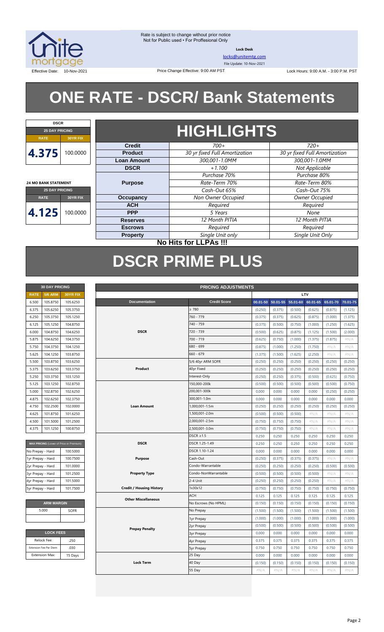

**Lock Desk**

[locks@unitemtg.com](mailto:locks@unitemtg.com)

File Update: 10-Nov-2021

Effective Date: 10-Nov-2021 1990 Price Change Effective: 9:00 AM PST Change Effective: 9:00 AM PST Lock Hours: 9:00 A.M. - 3:00 P.M. PST

# **ONE RATE - DSCR/ Bank Statements**

| <b>HIGHLIGHTS</b><br><b>25 DAY PRICING</b><br>30YR FIX<br><b>RATE</b><br>$720+$<br>700+<br><b>Credit</b> |  |  |  |  |  |  |  |  |  |
|----------------------------------------------------------------------------------------------------------|--|--|--|--|--|--|--|--|--|
|                                                                                                          |  |  |  |  |  |  |  |  |  |
|                                                                                                          |  |  |  |  |  |  |  |  |  |
|                                                                                                          |  |  |  |  |  |  |  |  |  |
| 4.375<br>100.0000<br>30 yr fixed Full Amortization<br>30 yr fixed Full Amortization<br><b>Product</b>    |  |  |  |  |  |  |  |  |  |
| 300.001-1.0MM<br>300.001-1.0MM<br><b>Loan Amount</b>                                                     |  |  |  |  |  |  |  |  |  |
| Not Applicable<br>$+1.100$<br><b>DSCR</b>                                                                |  |  |  |  |  |  |  |  |  |
| Purchase 80%<br>Purchase 70%                                                                             |  |  |  |  |  |  |  |  |  |
| <b>Purpose</b><br>Rate-Term 70%<br>Rate-Term 80%<br><b>24 MO BANK STATEMENT</b>                          |  |  |  |  |  |  |  |  |  |
| Cash-Out 65%<br>Cash-Out 75%<br><b>25 DAY PRICING</b>                                                    |  |  |  |  |  |  |  |  |  |
| Non Owner Occupied<br>Owner Occupied<br><b>Occupancy</b><br><b>RATE</b><br>30YR FIX                      |  |  |  |  |  |  |  |  |  |
| <b>ACH</b><br>Required<br>Required                                                                       |  |  |  |  |  |  |  |  |  |
| 4.125<br>100.0000<br>5 Years<br><b>PPP</b><br>None                                                       |  |  |  |  |  |  |  |  |  |
| 12 Month PITIA<br>12 Month PITIA<br><b>Reserves</b>                                                      |  |  |  |  |  |  |  |  |  |
| Required<br>Required<br><b>Escrows</b>                                                                   |  |  |  |  |  |  |  |  |  |
| Single Unit Only<br>Single Unit only<br><b>Property</b>                                                  |  |  |  |  |  |  |  |  |  |

#### **No Hits for LLPAs !!!**

# **DSCR PRIME PLUS**

| <b>30 DAY PRICING</b> |                |                 |  |  |  |  |
|-----------------------|----------------|-----------------|--|--|--|--|
| <b>RATE</b>           | <b>5/6 ARM</b> | <b>30YR FIX</b> |  |  |  |  |
| 6.500                 | 105.8750       | 105.6250        |  |  |  |  |
| 6.375                 | 105.6250       | 105.3750        |  |  |  |  |
| 6.250                 | 105.3750       | 105.1250        |  |  |  |  |
| 6.125                 | 105.1250       | 104.8750        |  |  |  |  |
| 6.000                 | 104.8750       | 104.6250        |  |  |  |  |
| 5.875                 | 104.6250       | 104.3750        |  |  |  |  |
| 5.750                 | 104.3750       | 104.1250        |  |  |  |  |
| 5.625                 | 104.1250       | 103.8750        |  |  |  |  |
| 5.500                 | 103.8750       | 103.6250        |  |  |  |  |
| 5.375                 | 103.6250       | 103.3750        |  |  |  |  |
| 5.250                 | 103.3750       | 103.1250        |  |  |  |  |
| 5.125                 | 103.1250       | 102.8750        |  |  |  |  |
| 5.000                 | 102.8750       | 102.6250        |  |  |  |  |
| 4.875                 | 102.6250       | 102.3750        |  |  |  |  |
| 4.750                 | 102.2500       | 102,0000        |  |  |  |  |
| 4.625                 | 101.8750       | 101.6250        |  |  |  |  |
| 4.500                 | 101.5000       | 101.2500        |  |  |  |  |
| 4.375                 | 101.1250       | 100.8750        |  |  |  |  |

| <b>MAX PRICING (Lower of Price or Premium)</b> |          |  |  |  |  |
|------------------------------------------------|----------|--|--|--|--|
| No Prepay - Hard                               | 100,5000 |  |  |  |  |
| 1yr Prepay - Hard                              | 100.7500 |  |  |  |  |
| 2yr Prepay - Hard                              | 101.0000 |  |  |  |  |
| 3yr Prepay - Hard                              | 101.2500 |  |  |  |  |
| 4yr Prepay - Hard                              | 101.5000 |  |  |  |  |
| 5yr Prepay - Hard                              | 101.7500 |  |  |  |  |

| <b>ARM MARGIN</b> |             |  |  |  |
|-------------------|-------------|--|--|--|
| 5.000             | <b>SOFR</b> |  |  |  |
|                   |             |  |  |  |

| <b>LOCK FEES</b>        |         |  |  |  |  |  |
|-------------------------|---------|--|--|--|--|--|
| Relock Fee:             | .250    |  |  |  |  |  |
| Extension Fee Per Diem: | .030    |  |  |  |  |  |
| <b>Extension Max:</b>   | 15 Days |  |  |  |  |  |

| LTV<br><b>RATE</b><br><b>5/6 ARM</b><br>30YR FIX<br><b>Credit Score</b><br>$50.01 - 55$<br>$55.01 - 60$<br>105.8750<br>Documentation<br>00.01-50<br>60.01-65<br>65.01-70<br>6.500<br>105.6250<br>$\geq 780$<br>105.6250<br>105.3750<br>(0.375)<br>(0.500)<br>(0.875)<br>6.375<br>(0.250)<br>(0.625)<br>760 - 779<br>105.3750<br>105.1250<br>6.250<br>(0.375)<br>(0.375)<br>(0.625)<br>(0.875)<br>(1.000)<br>104.8750<br>740 - 759<br>6.125<br>105.1250<br>(0.375)<br>(0.500)<br>(0.750)<br>(1.000)<br>(1.250)<br>720 - 739<br>104.8750<br>104.6250<br><b>DSCR</b><br>6.000<br>(0.500)<br>(0.625)<br>(0.875)<br>(1.125)<br>(1.500)<br>5.875<br>104.6250<br>104.3750<br>700 - 719<br>(0.750)<br>(1.000)<br>(0.625)<br>(1.375)<br>(1.875)<br>680 - 699<br>5.750<br>104.3750<br>104.1250<br>(0.875)<br>(1.000)<br>(1.250)<br>(1.750)<br>$\#N/A$<br>660 - 679<br>5.625<br>104.1250<br>103.8750<br>(1.375)<br>(1.500)<br>(1.625)<br>(2.250)<br>#N/A<br>5/6 40yr ARM SOFR<br>5.500<br>103.8750<br>103.6250<br>(0.250)<br>(0.250)<br>(0.250)<br>(0.250)<br>(0.250)<br>40yr Fixed<br>5.375<br>103.6250<br>103.3750<br>Product<br>(0.250)<br>(0.250)<br>(0.250)<br>(0.250)<br>(0.250)<br>5.250<br>103.3750<br>103.1250<br>Interest-Only<br>(0.250)<br>(0.250)<br>(0.375)<br>(0.500)<br>(0.625)<br>150,000-200k<br>103.1250<br>102.8750<br>5.125<br>(0.500)<br>(0.500)<br>(0.500)<br>(0.500)<br>(0.500)<br>200,001-300k<br>102.8750<br>102.6250<br>0.000<br>0.000<br>5.000<br>0.000<br>0.000<br>(0.250)<br>102.3750<br>300,001-1.0m<br>0.000<br>0.000<br>4.875<br>102.6250<br>0.000<br>0.000<br>0.000<br><b>Loan Amount</b><br>1,000,001-1.5m<br>102.0000<br>4.750<br>102.2500<br>(0.250)<br>(0.250)<br>(0.250)<br>(0.250)<br>(0.250)<br>4.625<br>101.8750<br>101.6250<br>1,500,001-2.0m<br>(0.500)<br>(0.500)<br>(0.500)<br>$\#N/A$<br>#N/A<br>4.500<br>101.5000<br>101.2500<br>2,000,001-2.5m<br>(0.750)<br>(0.750)<br>(0.750)<br>#N/A<br>#N/A<br>2,500,001-3.0m<br>101.1250<br>100.8750<br>4.375<br>(0.750)<br>(0.750)<br>(0.750)<br>$\#N/A$<br>$\#N/A$<br>$DSCR \geq 1.5$<br>0.250<br>0.250<br>0.250<br>0.250<br>0.250<br><b>DSCR</b><br>MAX PRICING (Lower of Price or Premium)<br>DSCR 1.25-1.49<br>0.250<br>0.250<br>0.250<br>0.250<br>0.250<br>DSCR 1.10-1.24<br>0.000<br>0.000<br>0.000<br>100.5000<br>0.000<br>0.000<br>Cash-Out<br>100.7500<br><b>Purpose</b><br>(0.250)<br>(0.375)<br>(0.375)<br>(0.375)<br>#N/A<br>101.0000<br>Condo-Warrantable<br>(0.250)<br>(0.250)<br>(0.250)<br>(0.250)<br>(0.500)<br>101.2500<br>Condo-NonWarrantable<br><b>Property Type</b><br>(0.500)<br>(0.500)<br>(0.500)<br>(0.500)<br>$\#N/A$<br>101.5000<br>2-4 Unit<br>(0.250)<br>(0.250)<br>(0.250)<br>(0.250)<br>$\#N/A$<br>101.7500<br><b>Credit / Housing History</b><br>1x30x12<br>(0.750)<br>(0.750)<br>(0.750)<br>(0.750)<br>(0.750)<br><b>ACH</b><br>0.125<br>0.125<br>0.125<br>0.125<br>0.125<br><b>Other Miscellaneous</b><br><b>ARM MARGIN</b><br>No Escrows (No HPML)<br>(0.150)<br>(0.150)<br>(0.150)<br>(0.150)<br>(0.150)<br>5.000<br><b>SOFR</b><br>No Prepay<br>(1.500)<br>(1.500)<br>(1.500)<br>(1.500)<br>(1.500) | <b>30 DAY PRICING</b> | <b>PRICING ADJUSTMENTS</b> |            |         |         |         |         |         |          |
|-----------------------------------------------------------------------------------------------------------------------------------------------------------------------------------------------------------------------------------------------------------------------------------------------------------------------------------------------------------------------------------------------------------------------------------------------------------------------------------------------------------------------------------------------------------------------------------------------------------------------------------------------------------------------------------------------------------------------------------------------------------------------------------------------------------------------------------------------------------------------------------------------------------------------------------------------------------------------------------------------------------------------------------------------------------------------------------------------------------------------------------------------------------------------------------------------------------------------------------------------------------------------------------------------------------------------------------------------------------------------------------------------------------------------------------------------------------------------------------------------------------------------------------------------------------------------------------------------------------------------------------------------------------------------------------------------------------------------------------------------------------------------------------------------------------------------------------------------------------------------------------------------------------------------------------------------------------------------------------------------------------------------------------------------------------------------------------------------------------------------------------------------------------------------------------------------------------------------------------------------------------------------------------------------------------------------------------------------------------------------------------------------------------------------------------------------------------------------------------------------------------------------------------------------------------------------------------------------------------------------------------------------------------------------------------------------------------------------------------------------------------------------------------------------------------------------------------------------------------------------------------------------------------------------------------------------------------------------------------------------------------------------------------------------------------------------------------------------------------------------|-----------------------|----------------------------|------------|---------|---------|---------|---------|---------|----------|
|                                                                                                                                                                                                                                                                                                                                                                                                                                                                                                                                                                                                                                                                                                                                                                                                                                                                                                                                                                                                                                                                                                                                                                                                                                                                                                                                                                                                                                                                                                                                                                                                                                                                                                                                                                                                                                                                                                                                                                                                                                                                                                                                                                                                                                                                                                                                                                                                                                                                                                                                                                                                                                                                                                                                                                                                                                                                                                                                                                                                                                                                                                                       |                       |                            |            |         |         |         |         |         |          |
|                                                                                                                                                                                                                                                                                                                                                                                                                                                                                                                                                                                                                                                                                                                                                                                                                                                                                                                                                                                                                                                                                                                                                                                                                                                                                                                                                                                                                                                                                                                                                                                                                                                                                                                                                                                                                                                                                                                                                                                                                                                                                                                                                                                                                                                                                                                                                                                                                                                                                                                                                                                                                                                                                                                                                                                                                                                                                                                                                                                                                                                                                                                       |                       |                            |            |         |         |         |         |         | 70.01-75 |
|                                                                                                                                                                                                                                                                                                                                                                                                                                                                                                                                                                                                                                                                                                                                                                                                                                                                                                                                                                                                                                                                                                                                                                                                                                                                                                                                                                                                                                                                                                                                                                                                                                                                                                                                                                                                                                                                                                                                                                                                                                                                                                                                                                                                                                                                                                                                                                                                                                                                                                                                                                                                                                                                                                                                                                                                                                                                                                                                                                                                                                                                                                                       |                       |                            |            |         |         |         |         |         | (1.125)  |
|                                                                                                                                                                                                                                                                                                                                                                                                                                                                                                                                                                                                                                                                                                                                                                                                                                                                                                                                                                                                                                                                                                                                                                                                                                                                                                                                                                                                                                                                                                                                                                                                                                                                                                                                                                                                                                                                                                                                                                                                                                                                                                                                                                                                                                                                                                                                                                                                                                                                                                                                                                                                                                                                                                                                                                                                                                                                                                                                                                                                                                                                                                                       |                       |                            |            |         |         |         |         |         | (1.375)  |
| No Prepay - Hard<br>1yr Prepay - Hard<br>2yr Prepay - Hard<br>3yr Prepay - Hard<br>4yr Prepay - Hard<br>5yr Prepay - Hard                                                                                                                                                                                                                                                                                                                                                                                                                                                                                                                                                                                                                                                                                                                                                                                                                                                                                                                                                                                                                                                                                                                                                                                                                                                                                                                                                                                                                                                                                                                                                                                                                                                                                                                                                                                                                                                                                                                                                                                                                                                                                                                                                                                                                                                                                                                                                                                                                                                                                                                                                                                                                                                                                                                                                                                                                                                                                                                                                                                             |                       |                            |            |         |         |         |         |         | (1.625)  |
|                                                                                                                                                                                                                                                                                                                                                                                                                                                                                                                                                                                                                                                                                                                                                                                                                                                                                                                                                                                                                                                                                                                                                                                                                                                                                                                                                                                                                                                                                                                                                                                                                                                                                                                                                                                                                                                                                                                                                                                                                                                                                                                                                                                                                                                                                                                                                                                                                                                                                                                                                                                                                                                                                                                                                                                                                                                                                                                                                                                                                                                                                                                       |                       |                            |            |         |         |         |         |         | (2.000)  |
|                                                                                                                                                                                                                                                                                                                                                                                                                                                                                                                                                                                                                                                                                                                                                                                                                                                                                                                                                                                                                                                                                                                                                                                                                                                                                                                                                                                                                                                                                                                                                                                                                                                                                                                                                                                                                                                                                                                                                                                                                                                                                                                                                                                                                                                                                                                                                                                                                                                                                                                                                                                                                                                                                                                                                                                                                                                                                                                                                                                                                                                                                                                       |                       |                            |            |         |         |         |         |         | #N/A     |
|                                                                                                                                                                                                                                                                                                                                                                                                                                                                                                                                                                                                                                                                                                                                                                                                                                                                                                                                                                                                                                                                                                                                                                                                                                                                                                                                                                                                                                                                                                                                                                                                                                                                                                                                                                                                                                                                                                                                                                                                                                                                                                                                                                                                                                                                                                                                                                                                                                                                                                                                                                                                                                                                                                                                                                                                                                                                                                                                                                                                                                                                                                                       |                       |                            |            |         |         |         |         |         | $\#N/A$  |
|                                                                                                                                                                                                                                                                                                                                                                                                                                                                                                                                                                                                                                                                                                                                                                                                                                                                                                                                                                                                                                                                                                                                                                                                                                                                                                                                                                                                                                                                                                                                                                                                                                                                                                                                                                                                                                                                                                                                                                                                                                                                                                                                                                                                                                                                                                                                                                                                                                                                                                                                                                                                                                                                                                                                                                                                                                                                                                                                                                                                                                                                                                                       |                       |                            |            |         |         |         |         |         | #N/A     |
|                                                                                                                                                                                                                                                                                                                                                                                                                                                                                                                                                                                                                                                                                                                                                                                                                                                                                                                                                                                                                                                                                                                                                                                                                                                                                                                                                                                                                                                                                                                                                                                                                                                                                                                                                                                                                                                                                                                                                                                                                                                                                                                                                                                                                                                                                                                                                                                                                                                                                                                                                                                                                                                                                                                                                                                                                                                                                                                                                                                                                                                                                                                       |                       |                            |            |         |         |         |         |         | (0.250)  |
|                                                                                                                                                                                                                                                                                                                                                                                                                                                                                                                                                                                                                                                                                                                                                                                                                                                                                                                                                                                                                                                                                                                                                                                                                                                                                                                                                                                                                                                                                                                                                                                                                                                                                                                                                                                                                                                                                                                                                                                                                                                                                                                                                                                                                                                                                                                                                                                                                                                                                                                                                                                                                                                                                                                                                                                                                                                                                                                                                                                                                                                                                                                       |                       |                            |            |         |         |         |         |         | (0.250)  |
|                                                                                                                                                                                                                                                                                                                                                                                                                                                                                                                                                                                                                                                                                                                                                                                                                                                                                                                                                                                                                                                                                                                                                                                                                                                                                                                                                                                                                                                                                                                                                                                                                                                                                                                                                                                                                                                                                                                                                                                                                                                                                                                                                                                                                                                                                                                                                                                                                                                                                                                                                                                                                                                                                                                                                                                                                                                                                                                                                                                                                                                                                                                       |                       |                            |            |         |         |         |         |         | (0.750)  |
|                                                                                                                                                                                                                                                                                                                                                                                                                                                                                                                                                                                                                                                                                                                                                                                                                                                                                                                                                                                                                                                                                                                                                                                                                                                                                                                                                                                                                                                                                                                                                                                                                                                                                                                                                                                                                                                                                                                                                                                                                                                                                                                                                                                                                                                                                                                                                                                                                                                                                                                                                                                                                                                                                                                                                                                                                                                                                                                                                                                                                                                                                                                       |                       |                            |            |         |         |         |         |         | (0.750)  |
|                                                                                                                                                                                                                                                                                                                                                                                                                                                                                                                                                                                                                                                                                                                                                                                                                                                                                                                                                                                                                                                                                                                                                                                                                                                                                                                                                                                                                                                                                                                                                                                                                                                                                                                                                                                                                                                                                                                                                                                                                                                                                                                                                                                                                                                                                                                                                                                                                                                                                                                                                                                                                                                                                                                                                                                                                                                                                                                                                                                                                                                                                                                       |                       |                            |            |         |         |         |         |         | (0.250)  |
|                                                                                                                                                                                                                                                                                                                                                                                                                                                                                                                                                                                                                                                                                                                                                                                                                                                                                                                                                                                                                                                                                                                                                                                                                                                                                                                                                                                                                                                                                                                                                                                                                                                                                                                                                                                                                                                                                                                                                                                                                                                                                                                                                                                                                                                                                                                                                                                                                                                                                                                                                                                                                                                                                                                                                                                                                                                                                                                                                                                                                                                                                                                       |                       |                            |            |         |         |         |         |         | 0.000    |
|                                                                                                                                                                                                                                                                                                                                                                                                                                                                                                                                                                                                                                                                                                                                                                                                                                                                                                                                                                                                                                                                                                                                                                                                                                                                                                                                                                                                                                                                                                                                                                                                                                                                                                                                                                                                                                                                                                                                                                                                                                                                                                                                                                                                                                                                                                                                                                                                                                                                                                                                                                                                                                                                                                                                                                                                                                                                                                                                                                                                                                                                                                                       |                       |                            |            |         |         |         |         |         | (0.250)  |
|                                                                                                                                                                                                                                                                                                                                                                                                                                                                                                                                                                                                                                                                                                                                                                                                                                                                                                                                                                                                                                                                                                                                                                                                                                                                                                                                                                                                                                                                                                                                                                                                                                                                                                                                                                                                                                                                                                                                                                                                                                                                                                                                                                                                                                                                                                                                                                                                                                                                                                                                                                                                                                                                                                                                                                                                                                                                                                                                                                                                                                                                                                                       |                       |                            |            |         |         |         |         |         | $\#N/A$  |
|                                                                                                                                                                                                                                                                                                                                                                                                                                                                                                                                                                                                                                                                                                                                                                                                                                                                                                                                                                                                                                                                                                                                                                                                                                                                                                                                                                                                                                                                                                                                                                                                                                                                                                                                                                                                                                                                                                                                                                                                                                                                                                                                                                                                                                                                                                                                                                                                                                                                                                                                                                                                                                                                                                                                                                                                                                                                                                                                                                                                                                                                                                                       |                       |                            |            |         |         |         |         |         | #N/A     |
|                                                                                                                                                                                                                                                                                                                                                                                                                                                                                                                                                                                                                                                                                                                                                                                                                                                                                                                                                                                                                                                                                                                                                                                                                                                                                                                                                                                                                                                                                                                                                                                                                                                                                                                                                                                                                                                                                                                                                                                                                                                                                                                                                                                                                                                                                                                                                                                                                                                                                                                                                                                                                                                                                                                                                                                                                                                                                                                                                                                                                                                                                                                       |                       |                            |            |         |         |         |         |         | $\#N/A$  |
|                                                                                                                                                                                                                                                                                                                                                                                                                                                                                                                                                                                                                                                                                                                                                                                                                                                                                                                                                                                                                                                                                                                                                                                                                                                                                                                                                                                                                                                                                                                                                                                                                                                                                                                                                                                                                                                                                                                                                                                                                                                                                                                                                                                                                                                                                                                                                                                                                                                                                                                                                                                                                                                                                                                                                                                                                                                                                                                                                                                                                                                                                                                       |                       |                            |            |         |         |         |         |         | 0.250    |
|                                                                                                                                                                                                                                                                                                                                                                                                                                                                                                                                                                                                                                                                                                                                                                                                                                                                                                                                                                                                                                                                                                                                                                                                                                                                                                                                                                                                                                                                                                                                                                                                                                                                                                                                                                                                                                                                                                                                                                                                                                                                                                                                                                                                                                                                                                                                                                                                                                                                                                                                                                                                                                                                                                                                                                                                                                                                                                                                                                                                                                                                                                                       |                       |                            |            |         |         |         |         |         | 0.250    |
|                                                                                                                                                                                                                                                                                                                                                                                                                                                                                                                                                                                                                                                                                                                                                                                                                                                                                                                                                                                                                                                                                                                                                                                                                                                                                                                                                                                                                                                                                                                                                                                                                                                                                                                                                                                                                                                                                                                                                                                                                                                                                                                                                                                                                                                                                                                                                                                                                                                                                                                                                                                                                                                                                                                                                                                                                                                                                                                                                                                                                                                                                                                       |                       |                            |            |         |         |         |         |         | 0.000    |
|                                                                                                                                                                                                                                                                                                                                                                                                                                                                                                                                                                                                                                                                                                                                                                                                                                                                                                                                                                                                                                                                                                                                                                                                                                                                                                                                                                                                                                                                                                                                                                                                                                                                                                                                                                                                                                                                                                                                                                                                                                                                                                                                                                                                                                                                                                                                                                                                                                                                                                                                                                                                                                                                                                                                                                                                                                                                                                                                                                                                                                                                                                                       |                       |                            |            |         |         |         |         |         | #N/A     |
|                                                                                                                                                                                                                                                                                                                                                                                                                                                                                                                                                                                                                                                                                                                                                                                                                                                                                                                                                                                                                                                                                                                                                                                                                                                                                                                                                                                                                                                                                                                                                                                                                                                                                                                                                                                                                                                                                                                                                                                                                                                                                                                                                                                                                                                                                                                                                                                                                                                                                                                                                                                                                                                                                                                                                                                                                                                                                                                                                                                                                                                                                                                       |                       |                            |            |         |         |         |         |         | (0.500)  |
|                                                                                                                                                                                                                                                                                                                                                                                                                                                                                                                                                                                                                                                                                                                                                                                                                                                                                                                                                                                                                                                                                                                                                                                                                                                                                                                                                                                                                                                                                                                                                                                                                                                                                                                                                                                                                                                                                                                                                                                                                                                                                                                                                                                                                                                                                                                                                                                                                                                                                                                                                                                                                                                                                                                                                                                                                                                                                                                                                                                                                                                                                                                       |                       |                            |            |         |         |         |         |         | #N/A     |
|                                                                                                                                                                                                                                                                                                                                                                                                                                                                                                                                                                                                                                                                                                                                                                                                                                                                                                                                                                                                                                                                                                                                                                                                                                                                                                                                                                                                                                                                                                                                                                                                                                                                                                                                                                                                                                                                                                                                                                                                                                                                                                                                                                                                                                                                                                                                                                                                                                                                                                                                                                                                                                                                                                                                                                                                                                                                                                                                                                                                                                                                                                                       |                       |                            |            |         |         |         |         |         | #N/A     |
|                                                                                                                                                                                                                                                                                                                                                                                                                                                                                                                                                                                                                                                                                                                                                                                                                                                                                                                                                                                                                                                                                                                                                                                                                                                                                                                                                                                                                                                                                                                                                                                                                                                                                                                                                                                                                                                                                                                                                                                                                                                                                                                                                                                                                                                                                                                                                                                                                                                                                                                                                                                                                                                                                                                                                                                                                                                                                                                                                                                                                                                                                                                       |                       |                            |            |         |         |         |         |         | (0.750)  |
|                                                                                                                                                                                                                                                                                                                                                                                                                                                                                                                                                                                                                                                                                                                                                                                                                                                                                                                                                                                                                                                                                                                                                                                                                                                                                                                                                                                                                                                                                                                                                                                                                                                                                                                                                                                                                                                                                                                                                                                                                                                                                                                                                                                                                                                                                                                                                                                                                                                                                                                                                                                                                                                                                                                                                                                                                                                                                                                                                                                                                                                                                                                       |                       |                            |            |         |         |         |         |         | 0.125    |
|                                                                                                                                                                                                                                                                                                                                                                                                                                                                                                                                                                                                                                                                                                                                                                                                                                                                                                                                                                                                                                                                                                                                                                                                                                                                                                                                                                                                                                                                                                                                                                                                                                                                                                                                                                                                                                                                                                                                                                                                                                                                                                                                                                                                                                                                                                                                                                                                                                                                                                                                                                                                                                                                                                                                                                                                                                                                                                                                                                                                                                                                                                                       |                       |                            |            |         |         |         |         |         | (0.150)  |
|                                                                                                                                                                                                                                                                                                                                                                                                                                                                                                                                                                                                                                                                                                                                                                                                                                                                                                                                                                                                                                                                                                                                                                                                                                                                                                                                                                                                                                                                                                                                                                                                                                                                                                                                                                                                                                                                                                                                                                                                                                                                                                                                                                                                                                                                                                                                                                                                                                                                                                                                                                                                                                                                                                                                                                                                                                                                                                                                                                                                                                                                                                                       |                       |                            |            |         |         |         |         |         | (1.500)  |
|                                                                                                                                                                                                                                                                                                                                                                                                                                                                                                                                                                                                                                                                                                                                                                                                                                                                                                                                                                                                                                                                                                                                                                                                                                                                                                                                                                                                                                                                                                                                                                                                                                                                                                                                                                                                                                                                                                                                                                                                                                                                                                                                                                                                                                                                                                                                                                                                                                                                                                                                                                                                                                                                                                                                                                                                                                                                                                                                                                                                                                                                                                                       |                       |                            | 1yr Prepay | (1.000) | (1.000) | (1.000) | (1.000) | (1.000) | (1.000)  |
| (0.500)<br>(0.500)<br>(0.500)<br>(0.500)<br>(0.500)<br>2yr Prepay<br><b>Prepay Penalty</b>                                                                                                                                                                                                                                                                                                                                                                                                                                                                                                                                                                                                                                                                                                                                                                                                                                                                                                                                                                                                                                                                                                                                                                                                                                                                                                                                                                                                                                                                                                                                                                                                                                                                                                                                                                                                                                                                                                                                                                                                                                                                                                                                                                                                                                                                                                                                                                                                                                                                                                                                                                                                                                                                                                                                                                                                                                                                                                                                                                                                                            |                       |                            |            |         |         |         |         |         | (0.500)  |
| <b>LOCK FEES</b><br>0.000<br>0.000<br>0.000<br>0.000<br>0.000<br>3yr Prepay                                                                                                                                                                                                                                                                                                                                                                                                                                                                                                                                                                                                                                                                                                                                                                                                                                                                                                                                                                                                                                                                                                                                                                                                                                                                                                                                                                                                                                                                                                                                                                                                                                                                                                                                                                                                                                                                                                                                                                                                                                                                                                                                                                                                                                                                                                                                                                                                                                                                                                                                                                                                                                                                                                                                                                                                                                                                                                                                                                                                                                           |                       |                            |            |         |         |         |         |         | 0.000    |
| Relock Fee:<br>.250<br>0.375<br>0.375<br>0.375<br>0.375<br>0.375<br>4yr Prepay                                                                                                                                                                                                                                                                                                                                                                                                                                                                                                                                                                                                                                                                                                                                                                                                                                                                                                                                                                                                                                                                                                                                                                                                                                                                                                                                                                                                                                                                                                                                                                                                                                                                                                                                                                                                                                                                                                                                                                                                                                                                                                                                                                                                                                                                                                                                                                                                                                                                                                                                                                                                                                                                                                                                                                                                                                                                                                                                                                                                                                        |                       |                            |            |         |         |         |         |         | 0.375    |
| Extension Fee Per Diem:<br>.030<br>0.750<br>0.750<br>0.750<br>0.750<br>0.750<br><b>5yr Prepay</b>                                                                                                                                                                                                                                                                                                                                                                                                                                                                                                                                                                                                                                                                                                                                                                                                                                                                                                                                                                                                                                                                                                                                                                                                                                                                                                                                                                                                                                                                                                                                                                                                                                                                                                                                                                                                                                                                                                                                                                                                                                                                                                                                                                                                                                                                                                                                                                                                                                                                                                                                                                                                                                                                                                                                                                                                                                                                                                                                                                                                                     |                       |                            |            |         |         |         |         |         | 0.750    |
| <b>Extension Max:</b><br>25 Day<br>0.000<br>0.000<br>0.000<br>0.000<br>0.000<br>15 Days                                                                                                                                                                                                                                                                                                                                                                                                                                                                                                                                                                                                                                                                                                                                                                                                                                                                                                                                                                                                                                                                                                                                                                                                                                                                                                                                                                                                                                                                                                                                                                                                                                                                                                                                                                                                                                                                                                                                                                                                                                                                                                                                                                                                                                                                                                                                                                                                                                                                                                                                                                                                                                                                                                                                                                                                                                                                                                                                                                                                                               |                       |                            |            |         |         |         |         |         | 0.000    |
| <b>Lock Term</b><br>40 Day<br>(0.150)<br>(0.150)<br>(0.150)<br>(0.150)<br>(0.150)                                                                                                                                                                                                                                                                                                                                                                                                                                                                                                                                                                                                                                                                                                                                                                                                                                                                                                                                                                                                                                                                                                                                                                                                                                                                                                                                                                                                                                                                                                                                                                                                                                                                                                                                                                                                                                                                                                                                                                                                                                                                                                                                                                                                                                                                                                                                                                                                                                                                                                                                                                                                                                                                                                                                                                                                                                                                                                                                                                                                                                     |                       |                            |            |         |         |         |         |         | (0.150)  |
| 55 Day<br>#N/A<br>$\#N/A$<br>$\#N/A$<br>#N/A<br>#N/A                                                                                                                                                                                                                                                                                                                                                                                                                                                                                                                                                                                                                                                                                                                                                                                                                                                                                                                                                                                                                                                                                                                                                                                                                                                                                                                                                                                                                                                                                                                                                                                                                                                                                                                                                                                                                                                                                                                                                                                                                                                                                                                                                                                                                                                                                                                                                                                                                                                                                                                                                                                                                                                                                                                                                                                                                                                                                                                                                                                                                                                                  |                       |                            |            |         |         |         |         |         | $\#N/A$  |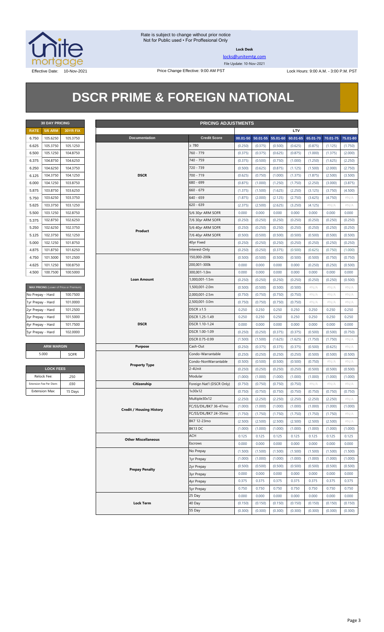

**Lock Desk**

[locks@unitemtg.com](mailto:locks@unitemtg.com)

File Update: 10-Nov-2021

Effective Date: 10-Nov-2021 **Price Change Effective: 9:00 AM PST** Lock Hours: 9:00 A.M. - 3:00 P.M. PST

## **DSCR PRIME & FOREIGN NATIONAL**

| <b>30 DAY PRICING</b> |                |                 |  |  |  |  |
|-----------------------|----------------|-----------------|--|--|--|--|
| <b>RATE</b>           | <b>5/6 ARM</b> | <b>30YR FIX</b> |  |  |  |  |
| 6.750                 | 105.6250       | 105.3750        |  |  |  |  |
| 6.625                 | 105.3750       | 105.1250        |  |  |  |  |
| 6.500                 | 105.1250       | 104.8750        |  |  |  |  |
| 6.375                 | 104.8750       | 104.6250        |  |  |  |  |
| 6.250                 | 104.6250       | 104.3750        |  |  |  |  |
| 6.125                 | 104.3750       | 104.1250        |  |  |  |  |
| 6.000                 | 104.1250       | 103.8750        |  |  |  |  |
| 5.875                 | 103.8750       | 103.6250        |  |  |  |  |
| 5.750                 | 103.6250       | 103.3750        |  |  |  |  |
| 5.625                 | 103.3750       | 103.1250        |  |  |  |  |
| 5.500                 | 103.1250       | 102.8750        |  |  |  |  |
| 5.375                 | 102.8750       | 102.6250        |  |  |  |  |
| 5.250                 | 102.6250       | 102.3750        |  |  |  |  |
| 5.125                 | 102.3750       | 102.1250        |  |  |  |  |
| 5.000                 | 102.1250       | 101.8750        |  |  |  |  |
| 4.875                 | 101.8750       | 101.6250        |  |  |  |  |
| 4.750                 | 101.5000       | 101.2500        |  |  |  |  |
| 4625                  | 101.1250       | 100.8750        |  |  |  |  |
| 4.500                 | 100.7500       | 100.5000        |  |  |  |  |

| MAX PRICING (Lower of Price or Premium) |
|-----------------------------------------|
| 100.7500                                |
| 101.0000                                |
| 101.2500                                |
| 101.5000                                |
| 101.7500                                |
| 102,0000                                |
|                                         |

| <b>ARM MARGIN</b> |      |
|-------------------|------|
| 5.000             | SOFR |

| <b>LOCK FEES</b>        |         |  |  |  |  |  |
|-------------------------|---------|--|--|--|--|--|
| Relock Fee:             | .250    |  |  |  |  |  |
| Extension Fee Per Diem: | .030    |  |  |  |  |  |
| <b>Extension Max:</b>   | 15 Days |  |  |  |  |  |

| <b>30 DAY PRICING</b><br><b>PRICING ADJUSTMENTS</b> |                         |                                         |                                 |                           |                    |                    |                    |                    |          |          |          |
|-----------------------------------------------------|-------------------------|-----------------------------------------|---------------------------------|---------------------------|--------------------|--------------------|--------------------|--------------------|----------|----------|----------|
| <b>RATE</b>                                         | <b>5/6 ARM</b>          | <b>30YR FIX</b>                         |                                 |                           |                    |                    |                    | LTV                |          |          |          |
| 6.750                                               | 105.6250                | 105.3750                                | Documentation                   | <b>Credit Score</b>       | $00.01 - 50$       |                    | 50.01-55 55.01-60  | 60.01-65           | 65.01-70 | 70.01-75 | 75.01-80 |
| 6.625                                               | 105.3750                | 105.1250                                |                                 | $\geq 780$                | (0.250)            | (0.375)            | (0.500)            | (0.625)            | (0.875)  | (1.125)  | (1.750)  |
| 6.500                                               | 105.1250                | 104.8750                                |                                 | 760 - 779                 | (0.375)            | (0.375)            | (0.625)            | (0.875)            | (1.000)  | (1.375)  | (2.000)  |
| 6.375                                               | 104.8750                | 104.6250                                |                                 | 740 - 759                 | (0.375)            | (0.500)            | (0.750)            | (1.000)            | (1.250)  | (1.625)  | (2.250)  |
| 6.250                                               | 104.6250                | 104.3750                                |                                 | 720 - 739                 | (0.500)            | (0.625)            | (0.875)            | (1.125)            | (1.500)  | (2.000)  | (2.750)  |
| 6.125                                               | 104.3750                | 104.1250                                | <b>DSCR</b>                     | 700 - 719                 | (0.625)            | (0.750)            | (1.000)            | (1.375)            | (1.875)  | (2.500)  | (3.500)  |
| 6.000                                               | 104.1250                | 103.8750                                |                                 | 680 - 699                 | (0.875)            | (1.000)            | (1.250)            | (1.750)            | (2.250)  | (3.000)  | (3.875)  |
| 5.875                                               | 103.8750                | 103.6250                                |                                 | $660 - 679$               | (1.375)            | (1.500)            | (1.625)            | (2.250)            | (3.125)  | (3.750)  | (4.500)  |
| 5.750                                               | 103.6250                | 103.3750                                |                                 | 640 - 659                 | (1.875)            | (2.000)            | (2.125)            | (2.750)            | (3.625)  | (4.750)  | #N/A     |
| 5.625                                               | 103.3750                | 103.1250                                |                                 | 620 - 639                 | (2.375)            | (2.500)            | (2.625)            | (3.250)            | (4.125)  | #N/A     | #N/A     |
| 5.500                                               | 103.1250                | 102.8750                                |                                 | 5/6 30yr ARM SOFR         | 0.000              | 0.000              | 0.000              | 0.000              | 0.000    | 0.000    | 0.000    |
| 5.375                                               | 102.8750                | 102.6250                                |                                 | 7/6 30yr ARM SOFR         | (0.250)            | (0.250)            | (0.250)            | (0.250)            | (0.250)  | (0.250)  | (0.250)  |
| 5.250                                               | 102.6250                | 102.3750                                |                                 | 5/6 40yr ARM SOFR         | (0.250)            | (0.250)            | (0.250)            | (0.250)            | (0.250)  | (0.250)  | (0.250)  |
| 5.125                                               | 102.3750                | 102.1250                                | Product                         | 7/6 40yr ARM SOFR         | (0.500)            | (0.500)            | (0.500)            | (0.500)            | (0.500)  | (0.500)  | (0.500)  |
| 5.000                                               | 102.1250                | 101.8750                                |                                 | 40yr Fixed                | (0.250)            | (0.250)            | (0.250)            | (0.250)            | (0.250)  | (0.250)  | (0.250)  |
| 4.875                                               | 101.8750                | 101.6250                                |                                 | Interest-Only             | (0.250)            | (0.250)            | (0.375)            | (0.500)            | (0.625)  | (0.750)  | (1.000)  |
| 4.750                                               | 101.5000                | 101.2500                                |                                 | 150,000-200k              | (0.500)            | (0.500)            | (0.500)            | (0.500)            | (0.500)  | (0.750)  | (0.750)  |
| 4.625                                               | 101.1250                | 100.8750                                |                                 | 200,001-300k              | 0.000              | 0.000              | 0.000              | 0.000              | (0.250)  | (0.250)  | (0.500)  |
| 4.500                                               | 100.7500                | 100.5000                                |                                 | 300,001-1.0m              | 0.000              | 0.000              | 0.000              | 0.000              | 0.000    | 0.000    | 0.000    |
|                                                     |                         |                                         | <b>Loan Amount</b>              | 1.000.001-1.5m            | (0.250)            | (0.250)            | (0.250)            | (0.250)            | (0.250)  | (0.250)  | (0.500)  |
|                                                     |                         | MAX PRICING (Lower of Price or Premium) |                                 | 1,500,001-2.0m            |                    |                    |                    |                    | #N/A     | #N/A     | #N/A     |
| No Prepay - Hard                                    |                         | 100.7500                                |                                 | 2,000,001-2.5m            | (0.500)<br>(0.750) | (0.500)<br>(0.750) | (0.500)<br>(0.750) | (0.500)<br>(0.750) | #N/A     | #N/A     | #N/A     |
|                                                     |                         |                                         |                                 | 2,500,001-3.0m            |                    |                    |                    |                    |          |          |          |
| 1yr Prepay - Hard                                   |                         | 101.0000                                |                                 | $DSCR \geq 1.5$           | (0.750)            | (0.750)            | (0.750)            | (0.750)            | #N/A     | #N/A     | #N/A     |
| 2yr Prepay - Hard                                   |                         | 101.2500                                |                                 |                           | 0.250              | 0.250              | 0.250              | 0.250              | 0.250    | 0.250    | 0.250    |
| 3yr Prepay - Hard                                   |                         | 101.5000                                | <b>DSCR</b>                     | DSCR 1.25-1.49            | 0.250              | 0.250              | 0.250              | 0.250              | 0.250    | 0.250    | 0.250    |
| 4yr Prepay - Hard                                   |                         | 101.7500                                |                                 | DSCR 1.10-1.24            | 0.000              | 0.000              | 0.000              | 0.000              | 0.000    | 0.000    | 0.000    |
| 5yr Prepay - Hard                                   |                         | 102.0000                                |                                 | DSCR 1.00-1.09            | (0.250)            | (0.250)            | (0.375)            | (0.375)            | (0.500)  | (0.500)  | (0.750)  |
|                                                     |                         |                                         |                                 | DSCR 0.75-0.99            | (1.500)            | (1.500)            | (1.625)            | (1.625)            | (1.750)  | (1.750)  | $\#N/A$  |
|                                                     | <b>ARM MARGIN</b>       |                                         | <b>Purpose</b>                  | Cash-Out                  | (0.250)            | (0.375)            | (0.375)            | (0.375)            | (0.500)  | (0.625)  | $\#N/A$  |
|                                                     | 5.000                   | SOFR                                    |                                 | Condo-Warrantable         | (0.250)            | (0.250)            | (0.250)            | (0.250)            | (0.500)  | (0.500)  | (0.500)  |
|                                                     |                         |                                         | <b>Property Type</b>            | Condo-NonWarrantable      | (0.500)            | (0.500)            | (0.500)            | (0.500)            | (0.750)  | $\#N/A$  | $\#N/A$  |
|                                                     | <b>LOCK FEES</b>        |                                         |                                 | 2-4Unit                   | (0.250)            | (0.250)            | (0.250)            | (0.250)            | (0.500)  | (0.500)  | (0.500)  |
|                                                     | Relock Fee:             | .250                                    |                                 | Modular                   | (1.000)            | (1.000)            | (1.000)            | (1.000)            | (1.000)  | (1.000)  | (1.000)  |
|                                                     | Extension Fee Per Diem: | .030                                    | Citizenship                     | Foreign Nat'l (DSCR Only) | (0.750)            | (0.750)            | (0.750)            | (0.750)            | $\#N/A$  | $\#N/A$  | $\#N/A$  |
|                                                     | <b>Extension Max:</b>   | 15 Days                                 |                                 | 1x30x12                   | (0.750)            | (0.750)            | (0.750)            | (0.750)            | (0.750)  | (0.750)  | (0.750)  |
|                                                     |                         |                                         |                                 | Multiple30x12             | (2.250)            | (2.250)            | (2.250)            | (2.250)            | (2.250)  | (2.250)  | #N/A     |
|                                                     |                         |                                         | <b>Credit / Housing History</b> | FC/SS/DIL/BK7 36-47mo     | (1.000)            | (1.000)            | (1.000)            | (1.000)            | (1.000)  | (1.000)  | (1.000)  |
|                                                     |                         |                                         |                                 | FC/SS/DIL/BK7 24-35mo     | (1.750)            | (1.750)            | (1.750)            | (1.750)            | (1.750)  | (1.750)  | $\#N/A$  |
|                                                     |                         |                                         |                                 | BK7 12-23mo               | (2.500)            | (2.500)            | (2.500)            | (2.500)            | (2.500)  | (2.500)  | # $N/A$  |
|                                                     |                         |                                         |                                 | BK13 DC                   | (1.000)            | (1.000)            | (1.000)            | (1.000)            | (1.000)  | (1.000)  | (1.000)  |
|                                                     |                         |                                         | <b>Other Miscellaneous</b>      | <b>ACH</b>                | 0.125              | 0.125              | 0.125              | 0.125              | 0.125    | 0.125    | 0.125    |
|                                                     |                         |                                         |                                 | Escrows                   | 0.000              | 0.000              | 0.000              | 0.000              | 0.000    | 0.000    | 0.000    |
|                                                     |                         |                                         |                                 | No Prepay                 | (1.500)            | (1.500)            | (1.500)            | (1.500)            | (1.500)  | (1.500)  | (1.500)  |
|                                                     |                         |                                         |                                 | 1yr Prepay                | (1.000)            | (1.000)            | (1.000)            | (1.000)            | (1.000)  | (1.000)  | (1.000)  |
|                                                     |                         |                                         | <b>Prepay Penalty</b>           | 2yr Prepay                | (0.500)            | (0.500)            | (0.500)            | (0.500)            | (0.500)  | (0.500)  | (0.500)  |
|                                                     |                         |                                         |                                 | <b>3yr Prepay</b>         | 0.000              | 0.000              | 0.000              | 0.000              | 0.000    | 0.000    | 0.000    |
|                                                     |                         |                                         |                                 | 4yr Prepay                | 0.375              | 0.375              | 0.375              | 0.375              | 0.375    | 0.375    | 0.375    |
|                                                     |                         |                                         |                                 | 5yr Prepay                | 0.750              | 0.750              | 0.750              | 0.750              | 0.750    | 0.750    | 0.750    |
|                                                     |                         |                                         |                                 | 25 Day                    | 0.000              | 0.000              | 0.000              | 0.000              | 0.000    | 0.000    | 0.000    |
|                                                     |                         |                                         | <b>Lock Term</b>                | 40 Day                    | (0.150)            | (0.150)            | (0.150)            | (0.150)            | (0.150)  | (0.150)  | (0.150)  |
|                                                     |                         |                                         |                                 | 55 Day                    | (0.300)            | (0.300)            | (0.300)            | (0.300)            | (0.300)  | (0.300)  | (0.300)  |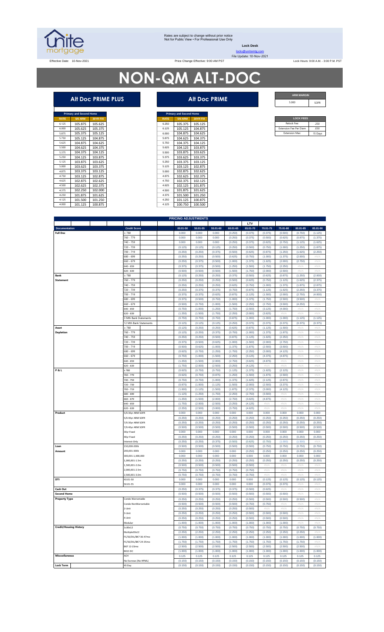

#### Rates are subject to change without prior notice Not for Public View • For Professional Use Only

**Lock Desk**

# **NON-QM ALT-DOC**

#### **Alt Doc PRIME PLUS Alt Doc PRIME**

|             | <b>Primary and Second Home</b> |                 |
|-------------|--------------------------------|-----------------|
| <b>RATE</b> | <b>5/6 ARM</b>                 | <b>30YR FIX</b> |
| 6.125       | 105.875                        | 105.625         |
| 6.000       | 105.625                        | 105.375         |
| 5875        | 105.375                        | 105.125         |
| 5.750       | 105.125                        | 104.875         |
| 5.625       | 104.875                        | 104.625         |
| 5.500       | 104.625                        | 104.375         |
| 5375        | 104.375                        | 104.125         |
| 5.250       | 104.125                        | 103.875         |
| 5 1 2 5     | 103.875                        | 103.625         |
| 5.000       | 103.625                        | 103.375         |
| 4875        | 103.375                        | 103.125         |
| 4750        | 103.125                        | 102.875         |
| 4.625       | 102.875                        | 102.625         |
| 4500        | 102.625                        | 102.375         |
| 4375        | 102.250                        | 102.000         |
| 4250        | 101.875                        | 101.625         |
| 4 1 2 5     | 101.500                        | 101.250         |
| 4000        | 101.125                        | 100.875         |

|             | <b>Primary and Second Home</b> |                 |             | <b>Primary and Second Home</b> |                 |
|-------------|--------------------------------|-----------------|-------------|--------------------------------|-----------------|
| <b>RATE</b> | <b>5/6 ARM</b>                 | <b>30YR FIX</b> | <b>RATE</b> | <b>5/6 ARM</b>                 | <b>30YR FIX</b> |
| 6.125       | 105.875                        | 105.625         | 6.250       | 105.375                        | 105.125         |
| 6.000       | 105.625                        | 105.375         | 6.125       | 105.125                        | 104.875         |
| 5.875       | 105.375                        | 105.125         | 6,000       | 104.875                        | 104.625         |
| 5.750       | 105.125                        | 104.875         | 5.875       | 104.625                        | 104.375         |
| 5.625       | 104.875                        | 104.625         | 5.750       | 104.375                        | 104.125         |
| 5.500       | 104.625                        | 104.375         | 5.625       | 104.125                        | 103.875         |
| 5.375       | 104.375                        | 104.125         | 5,500       | 103.875                        | 103.625         |
| 5.250       | 104.125                        | 103.875         | 5.375       | 103.625                        | 103.375         |
| 5.125       | 103.875                        | 103.625         | 5.250       | 103.375                        | 103.125         |
| 5.000       | 103.625                        | 103.375         | 5.125       | 103.125                        | 102.875         |
| 4.875       | 103.375                        | 103.125         | 5,000       | 102.875                        | 102.625         |
| 4.750       | 103.125                        | 102.875         | 4.875       | 102.625                        | 102.375         |
| 4.625       | 102.875                        | 102.625         | 4.750       | 102.375                        | 102.125         |
| 4.500       | 102.625                        | 102.375         | 4.625       | 102.125                        | 101.875         |
| 4.375       | 102.250                        | 102.000         | 4.500       | 101.875                        | 101.625         |
| 4.250       | 101.875                        | 101.625         | 4.375       | 101.500                        | 101.250         |
| 4.125       | 101.500                        | 101.250         | 4.250       | 101.125                        | 100.875         |
| 4.000       | 101.125                        | 100.875         | 4.125       | 100.750                        | 100.500         |

| <b>ARM MARGIN</b> |      |
|-------------------|------|
| 5.000             | SOFR |

| <b>LOCK FEES</b>              |         |
|-------------------------------|---------|
| Relock Fee:                   | 250     |
| <b>Extension Fee Per Diem</b> | 030     |
| <b>Extension Max:</b>         | 15 Days |
|                               |         |

|                               |                            |              |              |          |          | LTV      |          |                     |             |  |
|-------------------------------|----------------------------|--------------|--------------|----------|----------|----------|----------|---------------------|-------------|--|
| <b>Documentation</b>          | <b>Credit Score</b>        | $00.01 - 50$ | $50.01 - 55$ | 55.01-60 | 60.01-65 | 65.01-70 | 70.01-75 | 75.01-80            | 80.01-85    |  |
| <b>Full Doc</b>               | :780                       | 0.000        | 0.000        | 0.000    | (0.250)  | (0.375)  | (0.375)  | (0.500)             | (0.750)     |  |
|                               | 760 - 779                  | 0.000        | 0.000        | 0.000    | (0.250)  | (0.375)  | (0.500)  | (0.625)             | (0.875)     |  |
|                               | 740 - 759                  | 0.000        | 0.000        | 0.000    | (0.250)  | (0.375)  | (0.625)  | (0.750)             | (1.125)     |  |
|                               | 720 - 739                  | (0.125)      | (0.125)      | (0.125)  | (0.250)  | (0.500)  | (0.750)  | (1.000)             | (1.250)     |  |
|                               | 700 - 719                  | (0.250)      | (0.250)      | (0.375)  | (0.500)  | (0.625)  | (0.875)  | (1.250)             | (1.625)     |  |
|                               | 680 - 699                  | (0.250)      | (0.250)      | (0.500)  | (0.625)  | (0.750)  | (1.000)  | (1.375)             | (2.000)     |  |
|                               | 660 - 679                  | (0.250)      | (0.375)      | (0.500)  | (1.000)  | (1.375)  | (1.625)  | (2.000)             | (2.750)     |  |
|                               | 640 - 659                  | (0.375)      | (0.375)      | (0.500)  | (1.250)  | (1.500)  | (1.750)  | (2.250)             | #N/A        |  |
|                               | 620 - 639                  | (0.500)      | (0.500)      | (0.500)  | (1.500)  | (1.750)  | (2.000)  | (2.500)             | #N/A        |  |
| <b>Bank</b>                   | 2780                       | (0.125)      | (0.250)      | (0.250)  | (0.375)  | (0.500)  | (0.625)  | (0.875)             | (1.250)     |  |
| <b>Statement</b>              | 760 - 779                  | (0.250)      | (0.250)      | (0.250)  | (0.500)  | (0.625)  | (0.750)  | (1.125)             | (1.625)     |  |
|                               | 740 - 759                  | (0.250)      | (0.250)      | (0.250)  | (0.625)  | (0.750)  | (1.000)  | (1.375)             | (1.875)     |  |
|                               | 720 - 739                  | (0.250)      | (0.375)      | (0.375)  | (0.750)  | (0.875)  | (1.125)  | (1.625)             | (2.250)     |  |
|                               | 700 - 719                  | (0.375)      | (0.375)      | (0.625)  | (0.875)  | (1.125)  | (1.500)  | (2.000)             | (2.750)     |  |
|                               | 680 - 699                  | (0.375)      | (0.500)      | (0.750)  | (1.000)  | (1.375)  | (1.750)  | (2.500)             | (3.500)     |  |
|                               | 660 - 679                  | (0.500)      | (0.750)      | (1.000)  | (1.500)  | (2.250)  | (2.750)  | (3.500)             | (4.250)     |  |
|                               | 540 - 659                  | (0.750)      | (1.000)      | (1.250)  | (1.750)  | (2.500)  | (3.125)  | (4.000)             | #N/A        |  |
|                               | 620 - 639                  | (1.250)      | (1.500)      | (1.750)  | (2.250)  | (3.000)  | (3.625)  | #N//                | $\#N/\beta$ |  |
|                               | <b>Mth Bank Statements</b> | (0.750)      | (0.750)      | (0.750)  | (0.875)  | (1.000)  | (1.000)  | (1.000)             | (1.125)     |  |
|                               | 12 Mth Bank Statements     | (0.125)      | (0.125)      | (0.125)  | (0.250)  | (0.375)  | (0.375)  | (0.375)             | (0.375)     |  |
| Asset                         | : 780                      | (0.125)      | (0.250)      | (0.250)  | (0.625)  | (0.875)  | (1.125)  | (1.500)             | #N/A        |  |
| <b>Depletion</b>              | 760 - 779                  | (0.125)      | (0.250)      | (0.375)  | (0.750)  | (1.000)  | (1.375)  | (1.875)             | #N/A        |  |
|                               | 740 - 759                  | (0.250)      | (0.250)      | (0.500)  | (0.875)  | (1.125)  | (1.625)  | (2.250)             | #N/A        |  |
|                               | 720 - 739                  | (0.375)      | (0.500)      | (0.625)  | (1.000)  | (1.500)  | (2.000)  | (2.750)             | #N//        |  |
|                               | 700 - 719                  | (0.500)      | (0.625)      | (1.000)  | (1.375)  | (1.875)  | (2.500)  | (3.500)             | #N/A        |  |
|                               | 680 - 699                  | (0.625)      | (0.750)      | (1.250)  | (1.750)  | (2.250)  | (3.000)  | (4.125)             | #N//        |  |
|                               |                            |              |              |          |          |          |          |                     |             |  |
|                               | 660 - 679                  | (0.750)      | (1.000)      | (1.500)  | (2.250)  | (3.125)  | (4.375)  | (4.875)             | #N/A        |  |
|                               | 640 - 659                  | (1.250)      | (1.500)      | (2.000)  | (2.750)  | (3.625)  | (4.875)  | $\#N/A$             | #N/A        |  |
|                               | 520 - 639                  | (1.750)      | (2.000)      | (2.500)  | (3.250)  | (4.125)  | #N/A     | #N/A                | #N/A        |  |
| <b>P&amp;L</b>                | 780                        | (0.625)      | (0.750)      | (0.750)  | (1.125)  | (1.375)  | (1.625)  | (2.125)             | #N/A        |  |
|                               | 760 - 779                  | (0.625)      | (0.750)      | (0.875)  | (1.250)  | (1.500)  | (1.875)  | (2.500)             | #N/A        |  |
|                               | 740 - 759                  | (0.750)      | (0.750)      | (1.000)  | (1.375)  | (1.625)  | (2.125)  | (2.875)             | #N/A        |  |
|                               | 720 - 739                  | (0.875)      | (1.000)      | (1.125)  | (1.500)  | (2.000)  | (2.500)  | (3.375)             | #N/A        |  |
|                               | 700 - 719                  | (1.000)      | (1.125)      | (1.500)  | (1.875)  | (2.375)  | (3.000)  | (4.125)             | #N/A        |  |
|                               | 680 - 699                  | (1.125)      | (1.250)      | (1.750)  | (2.250)  | (2.750)  | (3.500)  | #N/A                | $\#N/A$     |  |
|                               | 660 - 679                  | (1.250)      | (1.500)      | (2.000)  | (2.750)  | (3.625)  | (4.875)  | #N//                | #N/A        |  |
|                               | 640 - 659                  | (1.750)      | (2.000)      | (2.500)  | (3.250)  | (4.125)  | #N/A     | #N//                | #N/A        |  |
|                               | 620 - 639                  | (2.250)      | (2.500)      | (3.000)  | (3.750)  | (4.625)  | #N//     | #N//                | #N/A        |  |
| Product                       | 5/6 30yr ARM SOFR          | 0.000        | 0.000        | 0.000    | 0.000    | 0.000    | 0.000    | 0.000               | 0.000       |  |
|                               | 5/6 40yr ARM SOFR          | (0.250)      | (0.250)      | (0.250)  | (0.250)  | (0.250)  | (0.250)  | (0.250)             | (0.250)     |  |
|                               | 7/6 30yr ARM SOFR          | (0.250)      | (0.250)      | (0.250)  | (0.250)  | (0.250)  | (0.250)  | (0.250)             | (0.250)     |  |
|                               | 7/6 40yr ARM SOFR          | (0.500)      | (0.500)      | (0.500)  | (0.500)  | (0.500)  | (0.500)  | (0.500)             | (0.500)     |  |
|                               | 30yr Fixed                 | 0.000        | 0.000        | 0.000    | 0.000    | 0.000    | 0.000    | 0.000               | 0.000       |  |
|                               | 40yr Fixed                 | (0.250)      | (0.250)      | (0.250)  | (0.250)  | (0.250)  | (0.250)  | (0.250)             | (0.250)     |  |
|                               | nterest-Only               | (0.250)      | (0.250)      | (0.375)  | (0.500)  | (0.625)  | (0.750)  | (1.000)             | (1.500)     |  |
| Loan                          | 150,000-200k               | (0.500)      | (0.500)      | (0.500)  | (0.500)  | (0.500)  | (0.750)  | (0.750)             | (0.750)     |  |
| Amount                        | 200,001-300k               | 0.000        | 0.000        | 0.000    | 0.000    | (0.250)  | (0.250)  | (0.250)             | (0.250)     |  |
|                               | 300,001-1,000,000          | 0.000        | 0.000        | 0.000    | 0.000    | 0.000    | 0.000    | 0.000               | 0.000       |  |
|                               | 1,000,001-1.5m             | (0.250)      | (0.250)      | (0.250)  | (0.250)  | (0.250)  | (0.250)  | (0.250)             | (0.250)     |  |
|                               | 1,500,001-2.0m             | (0.500)      | (0.500)      | (0.500)  | (0.500)  | (0.500)  | #N/A     | #N//                | #N/A        |  |
|                               | 2,000,001-2.5m             | (0.750)      | (0.750)      | (0.750)  | (0.750)  | (0.750)  | #N/A     | $\#\mathbb{N}/\ell$ | #N/A        |  |
|                               | 500,001-3.0m               | (0.750)      | (0.750)      | (0.750)  | (0.750)  | (0.750)  | #N/A     | #N/A                | #N/A        |  |
| DTI                           | 43.01-50                   | 0.000        | 0.000        | 0.000    | 0.000    | 0.000    | (0.125)  | (0.125)             | (0.125)     |  |
|                               | 50.01-55                   | 0.000        | 0.000        | 0.000    | 0.000    | 0.000    | (0.375)  | (0.375)             | #N/A        |  |
| Cash Out                      |                            | (0.250)      | (0.375)      | (0.375)  | (0.375)  | (0.500)  | (0.625)  | #N/A                | #N/A        |  |
|                               |                            |              |              |          |          |          |          |                     |             |  |
| <b>Second Home</b>            |                            | (0.500)      | (0.500)      | (0.500)  | (0.500)  | (0.500)  | (0.500)  | (0.500)             | #N/A        |  |
| <b>Property Type</b>          | Condo-Warrantable          | (0.250)      | (0.250)      | (0.250)  | (0.250)  | (0.500)  | (0.500)  | (0.500)             | (0.500)     |  |
|                               | Condo-NonWarrantable       | (0.500)      | (0.500)      | (0.500)  | (0.500)  | (0.750)  | (0.750)  | #N//                | #N/A        |  |
|                               | 2-Unit                     | (0.250)      | (0.250)      | (0.250)  | (0.250)  | (0.500)  | #N/A     | $\#N/A$             | #N/A        |  |
|                               | 3-Unit                     | (0.250)      | (0.250)      | (0.250)  | (0.250)  | (0.500)  | (0.500)  | (0.500)             | #N/A        |  |
|                               | 4-Unit                     | (0.250)      | (0.250)      | (0.250)  | (0.250)  | (0.500)  | (0.500)  | (0.500)             | #N/A        |  |
|                               | Modular                    | (1.000)      | (1.000)      | (1.000)  | (1.000)  | (1.000)  | (1.000)  | (1.000)             | #N/A        |  |
| <b>Credit/Housing History</b> | 1x30x12                    | (0.750)      | (0.750)      | (0.750)  | (0.750)  | (0.750)  | (0.750)  | (0.750)             | (0.750)     |  |
|                               | Multiple30x12              | (2.250)      | (2.250)      | (2.250)  | (2.250)  | (2.250)  | (2.250)  | (2.250)             | (2.250)     |  |
|                               | FC/SS/DIL/BK7 36-47mo      | (1.000)      | (1.000)      | (1.000)  | (1.000)  | (1.000)  | (1.000)  | (1.000)             | (1.000)     |  |
|                               | FC/SS/DIL/BK7 24-35mo      | (1.750)      | (1.750)      | (1.750)  | (1.750)  | (1.750)  | (1.750)  | (1.750)             | (1.750)     |  |
|                               | BK7 12-23mo                | (2.500)      | (2.500)      | (2.500)  | (2.500)  | (2.500)  | (2.500)  | (2.500)             | (2.500)     |  |
|                               | BK13DC                     | (1.000)      | (1.000)      | (1.000)  | (1.000)  | (1.000)  | (1.000)  | (1.000)             | (1.000)     |  |
| <b>Misccellaneous</b>         | ACH                        | 0.125        | 0.125        | 0.125    | 0.125    | 0.125    | 0.125    | 0.125               | 0.125       |  |
|                               |                            |              |              |          |          |          |          |                     |             |  |
|                               | No Escrows (No HPML)       | (0.150)      | (0.150)      | (0.150)  | (0.150)  | (0.150)  | (0.150)  | (0.150)             | (0.150)     |  |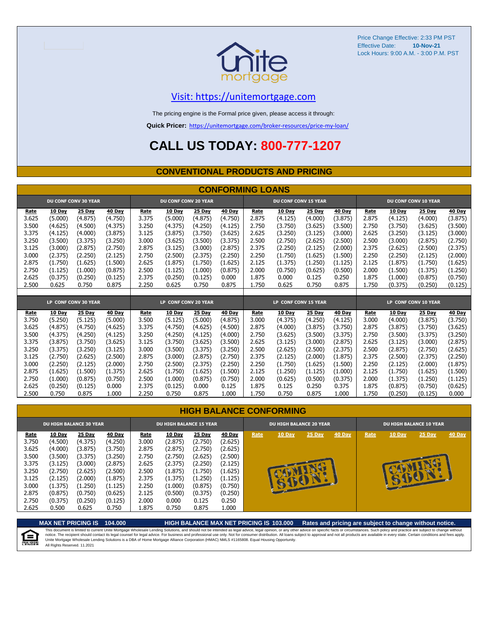

#### [V](https://unitemortgage.com/)isit: https://unitemortgage.com

The pricing engine is the Formal price given, please access it through:

**Quick Pricer:** [https://un](https://unitemortgage.com/broker-resources/price-my-loan/)itemortgage.com/broker-resources/price-my-loan/

### **CALL US TODAY: 800-777-1207**

#### **CONVENTIONAL PRODUCTS AND PRICING**

|                | <b>CONFORMING LOANS</b>  |                             |                          |                |                             |                          |                   |                |                             |                   |                          |                |                          |                             |                          |
|----------------|--------------------------|-----------------------------|--------------------------|----------------|-----------------------------|--------------------------|-------------------|----------------|-----------------------------|-------------------|--------------------------|----------------|--------------------------|-----------------------------|--------------------------|
|                |                          | <b>DU CONF CONV 30 YEAR</b> |                          |                | <b>DU CONF CONV 20 YEAR</b> |                          |                   |                | <b>DU CONF CONV 15 YEAR</b> |                   |                          |                |                          | <b>DU CONF CONV 10 YEAR</b> |                          |
| Rate<br>3.625  | <b>10 Day</b><br>(5.000) | 25 Day<br>(4.875)           | <b>40 Day</b><br>(4.750) | Rate<br>3.375  | 10 Day<br>(5.000)           | <b>25 Day</b><br>(4.875) | 40 Day<br>(4.750) | Rate<br>2.875  | 10 Day<br>(4.125)           | 25 Day<br>(4.000) | <b>40 Day</b><br>(3.875) | Rate<br>2.875  | <b>10 Day</b><br>(4.125) | 25 Day<br>(4.000)           | <b>40 Day</b><br>(3.875) |
| 3.500          | (4.625)                  | (4.500)                     | (4.375)                  | 3.250          | (4.375)                     | (4.250)                  | (4.125)           | 2.750          | (3.750)                     | (3.625)           | (3.500)                  | 2.750          | (3.750)                  | (3.625)                     | (3.500)                  |
| 3.375          | (4.125)                  | (4.000)                     | (3.875)                  | 3.125          | (3.875)                     | (3.750)                  | (3.625)           | 2.625          | (3.250)                     | (3.125)           | (3.000)                  | 2.625          | (3.250)                  | (3.125)                     | (3.000)                  |
| 3.250          | (3.500)                  | (3.375)                     | (3.250)                  | 3.000          | (3.625)                     | (3.500)                  | (3.375)           | 2.500          | (2.750)                     | (2.625)           | (2.500)                  | 2.500          | (3.000)                  | (2.875)                     | (2.750)                  |
| 3.125          | (3.000)                  | (2.875)                     | (2.750)                  | 2.875          | (3.125)                     | (3,000)                  | (2.875)           | 2.375          | (2.250)                     | (2.125)           | (2.000)                  | 2.375          | (2.625)                  | (2.500)                     | (2.375)                  |
| 3.000          | (2.375)                  | (2.250)                     | (2.125)                  | 2.750          | (2.500)                     | (2.375)                  | (2.250)           | 2.250          | (1.750)                     | (1.625)           | (1.500)                  | 2.250          | (2.250)                  | (2.125)                     | (2.000)                  |
| 2.875          | (1.750)                  | (1.625)                     | (1.500)                  | 2.625          | (1.875)                     | (1.750)                  | (1.625)           | 2.125          | (1.375)                     | (1.250)           | (1.125)                  | 2.125          | (1.875)                  | (1.750)                     | (1.625)                  |
| 2.750          | (1.125)                  | (1.000)                     | (0.875)                  | 2.500          | (1.125)                     | (1.000)                  | (0.875)           | 2.000          | (0.750)                     | (0.625)           | (0.500)                  | 2.000          | (1.500)                  | (1.375)                     | (1.250)                  |
| 2.625          | (0.375)                  | (0.250)                     | (0.125)                  | 2.375          | (0.250)                     | (0.125)                  | 0.000             | 1.875          | 0.000                       | 0.125             | 0.250                    | 1.875          | (1.000)                  | (0.875)                     | (0.750)                  |
| 2.500          | 0.625                    | 0.750                       | 0.875                    | 2.250          | 0.625                       | 0.750                    | 0.875             | 1.750          | 0.625                       | 0.750             | 0.875                    | 1.750          | (0.375)                  | (0.250)                     | (0.125)                  |
|                |                          |                             |                          |                |                             |                          |                   |                |                             |                   |                          |                |                          |                             |                          |
|                |                          |                             |                          |                |                             |                          |                   |                |                             |                   |                          |                |                          |                             |                          |
|                |                          | LP CONF CONV 30 YEAR        |                          |                | LP CONF CONV 20 YEAR        |                          |                   |                | LP CONF CONV 15 YEAR        |                   |                          |                |                          | LP CONF CONV 10 YEAR        |                          |
| Rate           | 10 Day                   | 25 Day                      | 40 Day                   | Rate           | 10 Day                      | 25 Day                   | 40 Day            | Rate           | 10 Day                      | 25 Day            | <b>40 Day</b>            | Rate           | <b>10 Day</b>            | 25 Day                      | <b>40 Day</b>            |
| 3.750          | (5.250)                  | (5.125)                     | (5.000)                  | 3.500          | (5.125)                     | (5.000)                  | (4.875)           | 3.000          | (4.375)                     | (4.250)           | (4.125)                  | 3.000          | (4.000)                  | (3.875)                     | (3.750)                  |
| 3.625          | (4.875)                  | (4.750)                     | (4.625)                  | 3.375          | (4.750)                     | (4.625)                  | (4.500)           | 2.875          | (4.000)                     | (3.875)           | (3.750)                  | 2.875          | (3.875)                  | (3.750)                     | (3.625)                  |
| 3.500          | (4.375)                  | (4.250)                     | (4.125)                  | 3.250          | (4.250)                     | (4.125)                  | (4.000)           | 2.750          | (3.625)                     | (3.500)           | (3.375)                  | 2.750          | (3.500)                  | (3.375)                     | (3.250)                  |
| 3.375          | (3.875)                  | (3.750)                     | (3.625)                  | 3.125          | (3.750)                     | (3.625)                  | (3.500)           | 2.625          | (3.125)                     | (3.000)           | (2.875)                  | 2.625          | (3.125)                  | (3.000)                     | (2.875)                  |
| 3.250          | (3.375)                  | (3.250)                     | (3.125)                  | 3.000          | (3.500)                     | (3.375)                  | (3.250)           | 2.500          | (2.625)                     | (2.500)           | (2.375)                  | 2.500          | (2.875)                  | (2.750)                     | (2.625)                  |
| 3.125          | (2.750)                  | (2.625)                     | (2.500)                  | 2.875          | (3.000)                     | (2.875)                  | (2.750)           | 2.375          | (2.125)                     | (2.000)           | (1.875)                  | 2.375          | (2.500)                  | (2.375)                     | (2.250)                  |
| 3.000          | (2.250)                  | (2.125)                     | (2.000)                  | 2.750          | (2.500)                     | (2.375)                  | (2.250)           | 2.250          | (1.750)                     | (1.625)           | (1.500)                  | 2.250          | (2.125)                  | (2.000)                     | (1.875)                  |
| 2.875          | (1.625)                  | (1.500)                     | (1.375)                  | 2.625          | (1.750)                     | (1.625)                  | (1.500)           | 2.125          | (1.250)                     | (1.125)           | (1.000)                  | 2.125          | (1.750)                  | (1.625)                     | (1.500)                  |
| 2.750          | (1.000)                  | (0.875)                     | (0.750)                  | 2.500          | (1.000)                     | (0.875)                  | (0.750)           | 2.000          | (0.625)                     | (0.500)           | (0.375)                  | 2.000          | (1.375)                  | (1.250)                     | (1.125)                  |
| 2.625<br>2.500 | (0.250)<br>0.750         | (0.125)<br>0.875            | 0.000<br>1.000           | 2.375<br>2.250 | (0.125)<br>0.750            | 0.000<br>0.875           | 0.125<br>1.000    | 1.875<br>1.750 | 0.125<br>0.750              | 0.250<br>0.875    | 0.375<br>1.000           | 1.875<br>1.750 | (0.875)<br>(0.250)       | (0.750)<br>(0.125)          | (0.625)<br>0.000         |

|                                                                     | <b>HIGH BALANCE CONFORMING</b>                                                             |                                                                                     |                                                                                            |                                                                     |                                                                                            |                                                                                            |                                                                                            |      |                                |                        |        |                                |               |          |               |  |
|---------------------------------------------------------------------|--------------------------------------------------------------------------------------------|-------------------------------------------------------------------------------------|--------------------------------------------------------------------------------------------|---------------------------------------------------------------------|--------------------------------------------------------------------------------------------|--------------------------------------------------------------------------------------------|--------------------------------------------------------------------------------------------|------|--------------------------------|------------------------|--------|--------------------------------|---------------|----------|---------------|--|
|                                                                     | <b>DU HIGH BALANCE 30 YEAR</b>                                                             |                                                                                     |                                                                                            |                                                                     | <b>DU HIGH BALANCE 15 YEAR</b>                                                             |                                                                                            |                                                                                            |      | <b>DU HIGH BALANCE 20 YEAR</b> |                        |        | <b>DU HIGH BALANCE 10 YEAR</b> |               |          |               |  |
| Rate<br>3.750<br>3.625<br>3.500<br>3.375<br>3.250<br>3.125<br>3.000 | <b>10 Day</b><br>(4.500)<br>(4.000)<br>(3.500)<br>(3.125)<br>(2.750)<br>(2.125)<br>(1.375) | 25 Day<br>(4.375)<br>(3.875)<br>(3.375)<br>(3.000)<br>(2.625)<br>(2.000)<br>(1.250) | <b>40 Day</b><br>(4.250)<br>(3.750)<br>(3.250)<br>(2.875)<br>(2.500)<br>(1.875)<br>(1.125) | Rate<br>3.000<br>2.875<br>2.750<br>2.625<br>2.500<br>2.375<br>2.250 | <b>10 Day</b><br>(2.875)<br>(2.875)<br>(2.750)<br>(2.375)<br>(1.875)<br>(1.375)<br>(1.000) | <b>25 Day</b><br>(2.750)<br>(2.750)<br>(2.625)<br>(2.250)<br>(1.750)<br>(1.250)<br>(0.875) | <b>40 Day</b><br>(2.625)<br>(2.625)<br>(2.500)<br>(2.125)<br>(1.625)<br>(1.125)<br>(0.750) | Rate | 10 Day                         | 25 Day<br><b>SPEAR</b> | 40 Day | Rate                           | <b>10 Day</b> | $25$ Day | <b>40 Day</b> |  |
| 2.875<br>2.750<br>2.625                                             | (0.875)<br>(0.375)<br>0.500                                                                | (0.750)<br>(0.250)<br>0.625                                                         | (0.625)<br>(0.125)<br>0.750                                                                | 2.125<br>2.000<br>1.875                                             | (0.500)<br>0.000<br>0.750                                                                  | (0.375)<br>0.125<br>0.875                                                                  | (0.250)<br>0.250<br>1.000                                                                  |      |                                |                        |        |                                |               |          |               |  |

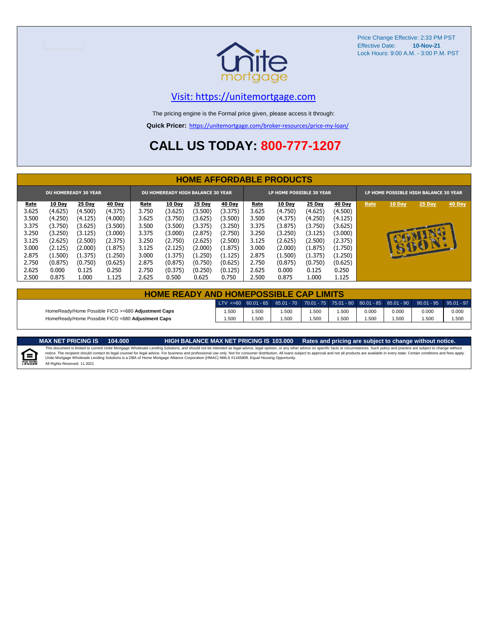

#### [V](https://unitemortgage.com/)isit: https://unitemortgage.com

The pricing engine is the Formal price given, please access it through:

**Quick Pricer:** [https://un](https://unitemortgage.com/broker-resources/price-my-loan/)itemortgage.com/broker-resources/price-my-loan/

## **CALL US TODAY: 800-777-1207**

|       |         | <b>DU HOMEREADY 30 YEAR</b> |               |       | <b>DU HOMEREADY HIGH BALANCE 30 YEAR</b> |         |               |       | LP HOME POSSIBLE 30 YEAR |               |         | LP HOME POSSIBLE HIGH BALANCE 30 YEAR |              |        |        |  |
|-------|---------|-----------------------------|---------------|-------|------------------------------------------|---------|---------------|-------|--------------------------|---------------|---------|---------------------------------------|--------------|--------|--------|--|
| Rate  | 10 Day  | 25 Day                      | <b>40 Day</b> | Rate  | <b>10 Day</b>                            | 25 Day  | <b>40 Day</b> | Rate  | 10 Day                   | <b>25 Day</b> | 40 Day  | Rate                                  | 10 Day       | 25 Day | 40 Day |  |
| 3.625 | (4.625) | (4.500)                     | (4.375)       | 3.750 | (3.625)                                  | (3.500) | (3.375)       | 3.625 | (4.750)                  | (4.625)       | (4.500) |                                       |              |        |        |  |
| 3.500 | (4.250) | (4.125)                     | (4.000)       | 3.625 | (3.750)                                  | (3.625) | (3.500)       | 3.500 | (4.375)                  | (4.250)       | (4.125) |                                       |              |        |        |  |
| 3.375 | (3.750) | (3.625)                     | (3.500)       | 3.500 | (3.500)                                  | (3.375) | (3.250)       | 3.375 | (3.875)                  | (3.750)       | (3.625) |                                       |              |        |        |  |
| 3.250 | (3.250) | (3.125)                     | (3.000)       | 3.375 | (3.000)                                  | (2.875) | (2.750)       | 3.250 | (3.250)                  | (3.125)       | (3.000) |                                       |              |        |        |  |
| 3.125 | (2.625) | (2.500)                     | (2.375)       | 3.250 | (2.750)                                  | (2.625) | (2.500)       | 3.125 | (2.625)                  | (2.500)       | (2.375) |                                       |              | СÐ     |        |  |
| 3.000 | (2.125) | (2.000)                     | (1.875)       | 3.125 | (2.125)                                  | (2.000) | (1.875)       | 3.000 | (2.000)                  | (1.875)       | (1.750) |                                       | $\mathbf{F}$ | BOY    |        |  |
| 2.875 | (1.500) | (1.375)                     | (1.250)       | 3.000 | (1.375)                                  | (1.250) | (1.125)       | 2.875 | (1.500)                  | (1.375)       | (1.250) |                                       |              |        |        |  |
| 2.750 | (0.875) | (0.750)                     | (0.625)       | 2.875 | (0.875)                                  | (0.750) | (0.625)       | 2.750 | (0.875)                  | (0.750)       | (0.625) |                                       |              |        |        |  |
| 2.625 | 0.000   | 0.125                       | 0.250         | 2.750 | (0.375)                                  | (0.250) | (0.125)       | 2.625 | 0.000                    | 0.125         | 0.250   |                                       |              |        |        |  |
| 2.500 | 0.875   | 1.000                       | 1.125         | 2.625 | 0.500                                    | 0.625   | 0.750         | 2.500 | 0.875                    | 1.000         | 1.125   |                                       |              |        |        |  |

| <b>HOME READY AND HOMEPOSSIBLE CAP LIMITS</b>      |       |       |      |       |      |       |       |                                                                                                  |       |  |  |  |  |
|----------------------------------------------------|-------|-------|------|-------|------|-------|-------|--------------------------------------------------------------------------------------------------|-------|--|--|--|--|
|                                                    |       |       |      |       |      |       |       | LTV <=60 60.01 - 65 65.01 - 70 70.01 - 75 75.01 - 80 80.01 - 85 85.01 - 90 90.01 - 95 95.01 - 97 |       |  |  |  |  |
| HomeReady/Home Possible FICO >=680 Adjustment Caps | 1.500 | 1.500 | .500 | 1.500 | .500 | 0.000 | 0.000 | 0.000                                                                                            | 0.000 |  |  |  |  |
| HomeReady/Home Possible FICO <680 Adiustment Caps  | 1.500 | 1.500 | .500 | 1.500 | .500 | .500  | 1.500 | .500                                                                                             | 1.500 |  |  |  |  |

MAX NET PRICING IS 103.000 Rates and pricing are subject to change without notice.<br>This document is limited to current Unite Mortgage Wholesale Lending Solutions, and should not be intended as legal advice, legal opinion,



All Rights Reserved. 11.2021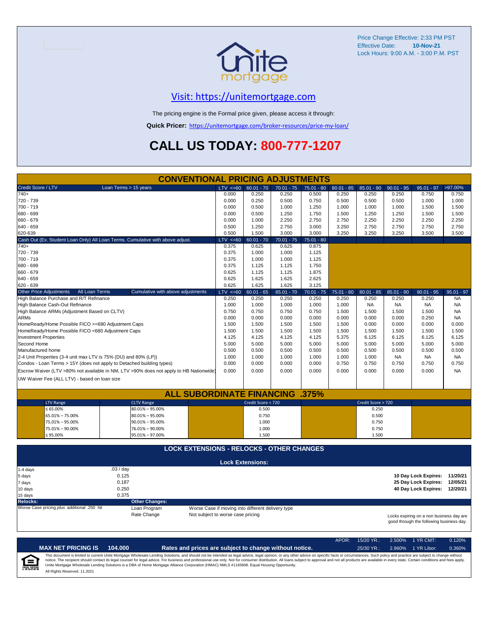

#### [V](https://unitemortgage.com/)isit: https://unitemortgage.com

The pricing engine is the Formal price given, please access it through:

**Quick Pricer:** [https://un](https://unitemortgage.com/broker-resources/price-my-loan/)itemortgage.com/broker-resources/price-my-loan/

## **CALL US TODAY: 800-777-1207**

|                                                                       | <b>CONVENTIONAL PRICING ADJUSTMENTS</b>                                                |                                   |                                                   |              |              |              |                    |              |                                                                                      |              |
|-----------------------------------------------------------------------|----------------------------------------------------------------------------------------|-----------------------------------|---------------------------------------------------|--------------|--------------|--------------|--------------------|--------------|--------------------------------------------------------------------------------------|--------------|
| Credit Score / LTV                                                    | Loan Terms > 15 years                                                                  | $LTV \le 60$                      | $60.01 - 70$                                      | $70.01 - 75$ | $75.01 - 80$ | $80.01 - 85$ | $85.01 - 90$       | $90.01 - 95$ | $95.01 - 97$                                                                         | >97.00%      |
| $740+$                                                                |                                                                                        | 0.000                             | 0.250                                             | 0.250        | 0.500        | 0.250        | 0.250              | 0.250        | 0.750                                                                                | 0.750        |
| 720 - 739                                                             |                                                                                        | 0.000                             | 0.250                                             | 0.500        | 0.750        | 0.500        | 0.500              | 0.500        | 1.000                                                                                | 1.000        |
| 700 - 719                                                             |                                                                                        | 0.000                             | 0.500                                             | 1.000        | 1.250        | 1.000        | 1.000              | 1.000        | 1.500                                                                                | 1.500        |
| 680 - 699                                                             |                                                                                        | 0.000                             | 0.500                                             | 1.250        | 1.750        | 1.500        | 1.250              | 1.250        | 1.500                                                                                | 1.500        |
| 660 - 679                                                             |                                                                                        | 0.000                             | 1.000                                             | 2.250        | 2.750        | 2.750        | 2.250              | 2.250        | 2.250                                                                                | 2.250        |
| 640 - 659                                                             |                                                                                        | 0.500                             | 1.250                                             | 2.750        | 3.000        | 3.250        | 2.750              | 2.750        | 2.750                                                                                | 2.750        |
| 620-639                                                               |                                                                                        | 0.500                             | 1.500                                             | 3.000        | 3.000        | 3.250        | 3.250              | 3.250        | 3.500                                                                                | 3.500        |
|                                                                       | Cash Out (Ex. Student Loan Only) All Loan Terms. Cumulative with above adjust.         | $LTV \le 60$                      | $60.01 - 70$                                      | $70.01 - 75$ | $75.01 - 80$ |              |                    |              |                                                                                      |              |
| 740+                                                                  |                                                                                        | 0.375                             | 0.625                                             | 0.625        | 0.875        |              |                    |              |                                                                                      |              |
| 720 - 739                                                             |                                                                                        | 0.375                             | 1.000                                             | 1.000        | 1.125        |              |                    |              |                                                                                      |              |
| 700 - 719                                                             |                                                                                        | 0.375                             | 1.000                                             | 1.000        | 1.125        |              |                    |              |                                                                                      |              |
| 680 - 699                                                             |                                                                                        | 0.375                             | 1.125                                             | 1.125        | 1.750        |              |                    |              |                                                                                      |              |
| 660 - 679                                                             |                                                                                        | 0.625                             | 1.125                                             | 1.125        | 1.875        |              |                    |              |                                                                                      |              |
| 640 - 659                                                             |                                                                                        | 0.625                             | 1.625                                             | 1.625        | 2.625        |              |                    |              |                                                                                      |              |
| 620 - 639                                                             |                                                                                        | 0.625                             | 1.625                                             | 1.625        | 3.125        |              |                    |              |                                                                                      |              |
| Other Price Adjustments<br>All Loan Terms                             | Cumulative with above adjustments                                                      | $LTV \le 60$                      | $60.01 - 65$                                      | $65.01 - 70$ | $70.01 - 75$ | $75.01 - 80$ | $80.01 - 85$       | $85.01 - 90$ | $90.01 - 95$                                                                         | $95.01 - 97$ |
| High Balance Purchase and R/T Refinance                               |                                                                                        | 0.250                             | 0.250                                             | 0.250        | 0.250        | 0.250        | 0.250              | 0.250        | 0.250                                                                                | <b>NA</b>    |
| High Balance Cash-Out Refinance                                       |                                                                                        | 1.000                             | 1.000                                             | 1.000        | 1.000        | 1.000        | <b>NA</b>          | <b>NA</b>    | <b>NA</b>                                                                            | <b>NA</b>    |
| High Balance ARMs (Adjustment Based on CLTV)                          |                                                                                        | 0.750                             | 0.750                                             | 0.750        | 0.750        | 1.500        | 1.500              | 1.500        | 1.500                                                                                | <b>NA</b>    |
| <b>ARMs</b>                                                           |                                                                                        | 0.000                             | 0.000                                             | 0.000        | 0.000        | 0.000        | 0.000              | 0.000        | 0.250                                                                                | <b>NA</b>    |
| HomeReady/Home Possible FICO >=680 Adjustment Caps                    |                                                                                        | 1.500                             | 1.500                                             | 1.500        | 1.500        | 1.500        | 0.000              | 0.000        | 0.000                                                                                | 0.000        |
| HomeReady/Home Possible FICO <680 Adjustment Caps                     |                                                                                        | 1.500                             | 1.500                                             | 1.500        | 1.500        | 1.500        | 1.500              | 1.500        | 1.500                                                                                | 1.500        |
| <b>Investment Properties</b>                                          |                                                                                        | 4.125                             | 4.125                                             | 4.125        | 4.125        | 5.375        | 6.125              | 6.125        | 6.125                                                                                | 6.125        |
| Second Home                                                           |                                                                                        | 5.000                             | 5.000                                             | 5.000        | 5.000        | 5.000        | 5.000              | 5.000        | 5.000                                                                                | 5.000        |
| Manufactured home                                                     |                                                                                        | 0.500                             | 0.500                                             | 0.500        | 0.500        | 0.500        | 0.500              | 0.500        | 0.500                                                                                | 0.500        |
| 2-4 Unit Properties (3-4 unit max LTV is 75% (DU) and 80% (LP))       |                                                                                        | 1.000                             | 1.000                                             | 1.000        | 1.000        | 1.000        | 1.000              | <b>NA</b>    | <b>NA</b>                                                                            | <b>NA</b>    |
| Condos - Loan Terms > 15Y (does not apply to Detached building types) |                                                                                        | 0.000                             | 0.000                                             | 0.000        | 0.000        | 0.750        | 0.750              | 0.750        | 0.750                                                                                | 0.750        |
|                                                                       | Escrow Waiver (LTV >80% not available in NM, LTV >90% does not apply to HB Nationwide) | 0.000                             | 0.000                                             | 0.000        | 0.000        | 0.000        | 0.000              | 0.000        | 0.000                                                                                | <b>NA</b>    |
| UW Waiver Fee (ALL LTV) - based on loan size                          |                                                                                        |                                   |                                                   |              |              |              |                    |              |                                                                                      |              |
|                                                                       |                                                                                        |                                   |                                                   |              |              |              |                    |              |                                                                                      |              |
|                                                                       | <b>ALL SUBORDINATE FINANCING .375%</b>                                                 |                                   |                                                   |              |              |              |                    |              |                                                                                      |              |
| <b>LTV Range</b>                                                      | <b>CLTV Range</b>                                                                      |                                   | Credit Score < 720                                |              |              |              | Credit Score > 720 |              |                                                                                      |              |
| $\leq 65.00\%$                                                        | $80.01\% - 95.00\%$                                                                    |                                   | 0.500                                             |              |              |              | 0.250              |              |                                                                                      |              |
| 65.01% - 75.00%                                                       | $80.01\% - 95.00\%$                                                                    |                                   | 0.750                                             |              |              |              | 0.500              |              |                                                                                      |              |
| 75.01% - 95.00%                                                       | $90.01\% - 95.00\%$                                                                    |                                   | 1.000                                             |              |              |              | 0.750              |              |                                                                                      |              |
| 75.01% - 90.00%                                                       | 76.01% - 90.00%                                                                        |                                   | 1.000                                             |              |              |              | 0.750              |              |                                                                                      |              |
| ≤ 95.00%                                                              | 95.01% - 97.00%                                                                        |                                   | 1.500                                             |              |              |              | 1.500              |              |                                                                                      |              |
|                                                                       | <b>LOCK EXTENSIONS - RELOCKS - OTHER CHANGES</b>                                       |                                   |                                                   |              |              |              |                    |              |                                                                                      |              |
|                                                                       |                                                                                        |                                   |                                                   |              |              |              |                    |              |                                                                                      |              |
|                                                                       |                                                                                        |                                   | <b>Lock Extensions:</b>                           |              |              |              |                    |              |                                                                                      |              |
| 1-4 days                                                              | .03/day<br>0.125                                                                       |                                   |                                                   |              |              |              |                    |              | 10 Day Lock Expires: 11/20/21                                                        |              |
| 5 days                                                                | 0.187                                                                                  |                                   |                                                   |              |              |              |                    |              | 25 Day Lock Expires:                                                                 | 12/05/21     |
| 7 days                                                                | 0.250                                                                                  |                                   |                                                   |              |              |              |                    |              | 40 Day Lock Expires: 12/20/21                                                        |              |
| 10 days                                                               | 0.375                                                                                  |                                   |                                                   |              |              |              |                    |              |                                                                                      |              |
| 15 days<br><b>Relocks:</b>                                            | <b>Other Changes:</b>                                                                  |                                   |                                                   |              |              |              |                    |              |                                                                                      |              |
| Worse Case pricing plus additional .250 hit                           | Loan Program                                                                           |                                   | Worse Case if moving into different delivery type |              |              |              |                    |              |                                                                                      |              |
|                                                                       | Rate Change                                                                            | Not subject to worse case pricing |                                                   |              |              |              |                    |              |                                                                                      |              |
|                                                                       |                                                                                        |                                   |                                                   |              |              |              |                    |              | Locks expiring on a non business day are<br>good through the following business day. |              |

APOR: 15/20 YR.: 2.500% 1 YR CMT: 0.120% **MAX NET PRICING IS 104.000 Rates and prices are subject to change without notice.** 25/30 YR.: 2.960% 1 YR Libor: 0.360% This document is limited to current Unite Mortgage Wholesale Lending Solutions, and should not be intended as legal advice, legal opinion, or any other advice on specific facts or circumstances. Such policy and practice ar  $\equiv$ **EQUAL HOUSING** All Rights Reserved. 11.2021